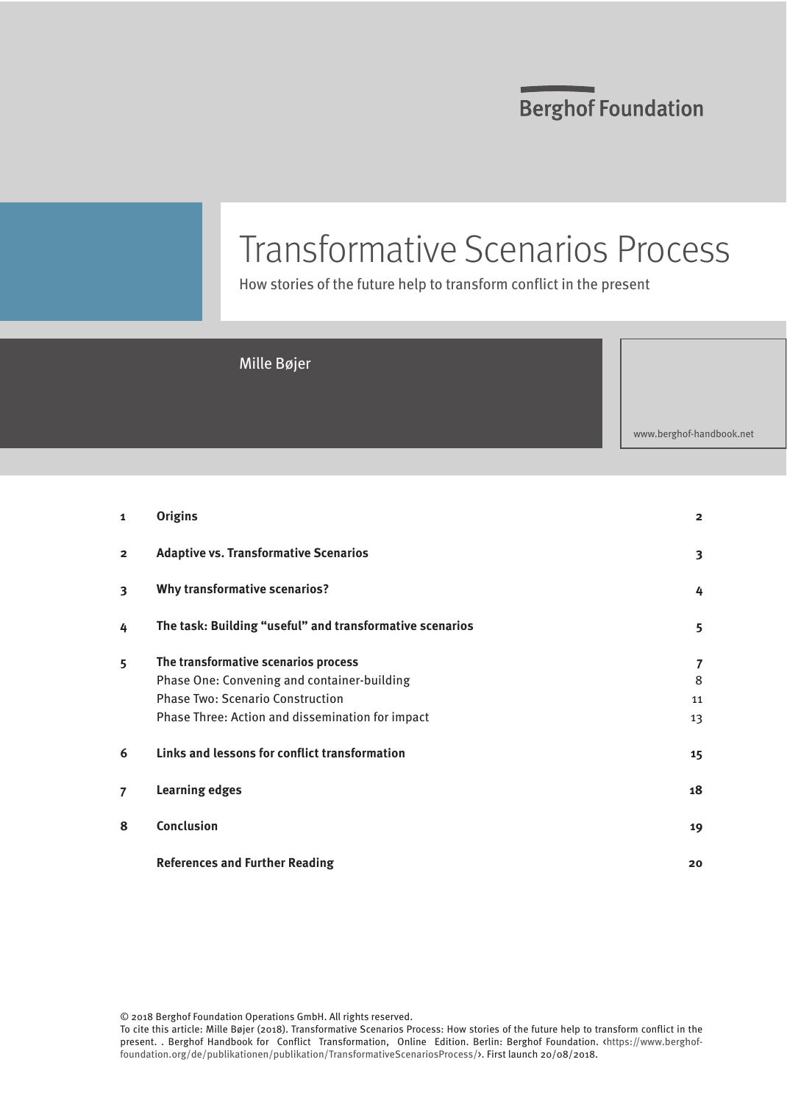# Transformative Scenarios Process

How stories of the future help to transform conflict in the present

### Mille Bøjer

www.berghof-handbook.net

| $\mathbf{1}$   | <b>Origins</b>                                                                                                                                                                     | $\overline{2}$     |
|----------------|------------------------------------------------------------------------------------------------------------------------------------------------------------------------------------|--------------------|
| $\overline{2}$ | <b>Adaptive vs. Transformative Scenarios</b>                                                                                                                                       | 3                  |
| 3              | <b>Why transformative scenarios?</b>                                                                                                                                               | 4                  |
| 4              | The task: Building "useful" and transformative scenarios                                                                                                                           | 5                  |
| 5              | The transformative scenarios process<br>Phase One: Convening and container-building<br><b>Phase Two: Scenario Construction</b><br>Phase Three: Action and dissemination for impact | 7<br>8<br>11<br>13 |
| 6              | Links and lessons for conflict transformation                                                                                                                                      | 15                 |
| $\overline{7}$ | <b>Learning edges</b>                                                                                                                                                              | 18                 |
| 8              | <b>Conclusion</b>                                                                                                                                                                  | 19                 |
|                | <b>References and Further Reading</b>                                                                                                                                              | 20                 |

© 2018 Berghof Foundation Operations GmbH. All rights reserved.

To cite this article: Mille Bøjer (2018). Transformative Scenarios Process: How stories of the future help to transform conflict in the present. . Berghof Handbook for Conflict Transformation, Online Edition. Berlin: Berghof Foundation. <br/><br>Anttps://www.berghoffoundation.org/de/publikationen/publikation/TransformativeScenariosProcess/>. First launch 20/08/2018.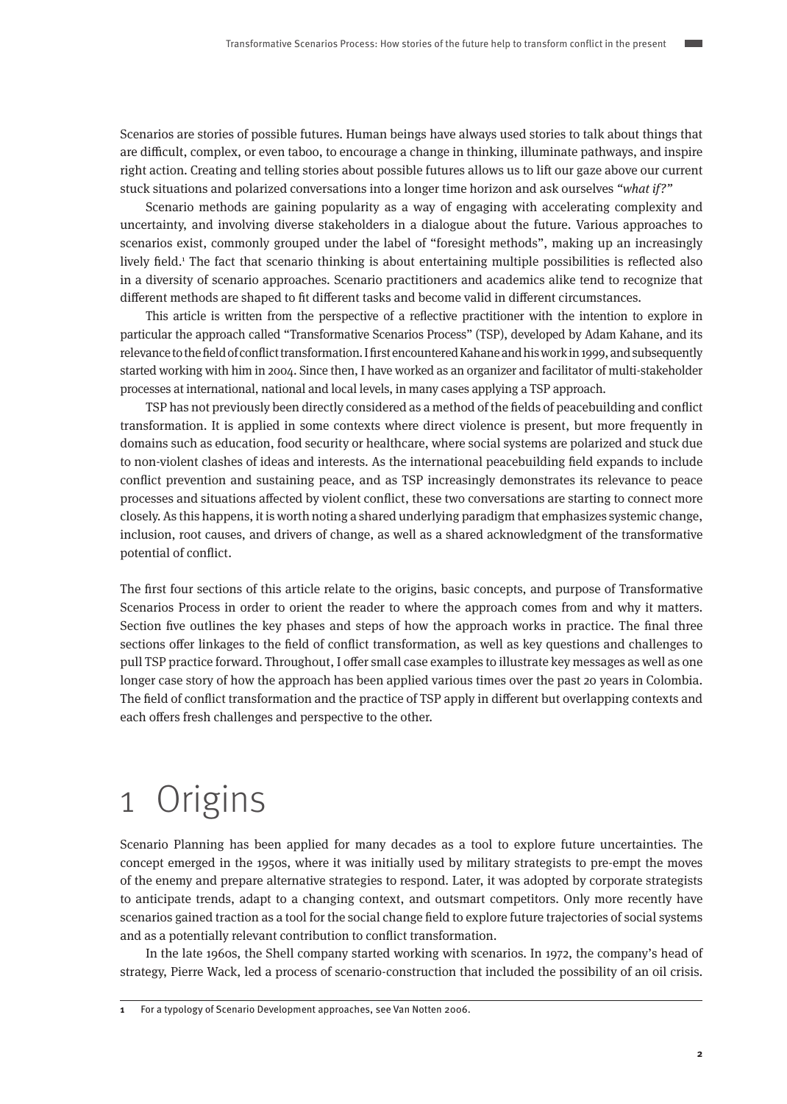<span id="page-1-0"></span>Scenarios are stories of possible futures. Human beings have always used stories to talk about things that are difficult, complex, or even taboo, to encourage a change in thinking, illuminate pathways, and inspire right action. Creating and telling stories about possible futures allows us to lift our gaze above our current stuck situations and polarized conversations into a longer time horizon and ask ourselves "what if?"

Scenario methods are gaining popularity as a way of engaging with accelerating complexity and uncertainty, and involving diverse stakeholders in a dialogue about the future. Various approaches to scenarios exist, commonly grouped under the label of "foresight methods", making up an increasingly lively field.<sup>1</sup> The fact that scenario thinking is about entertaining multiple possibilities is reflected also in a diversity of scenario approaches. Scenario practitioners and academics alike tend to recognize that different methods are shaped to fit different tasks and become valid in different circumstances.

This article is written from the perspective of a reflective practitioner with the intention to explore in particular the approach called "Transformative Scenarios Process" (TSP), developed by Adam Kahane, and its relevance to the field of conflict transformation. I first encountered Kahane and his work in 1999, and subsequently started working with him in 2004. Since then, I have worked as an organizer and facilitator of multi-stakeholder processes at international, national and local levels, in many cases applying a TSP approach.

TSP has not previously been directly considered as a method of the fields of peacebuilding and conflict transformation. It is applied in some contexts where direct violence is present, but more frequently in domains such as education, food security or healthcare, where social systems are polarized and stuck due to non-violent clashes of ideas and interests. As the international peacebuilding field expands to include conflict prevention and sustaining peace, and as TSP increasingly demonstrates its relevance to peace processes and situations affected by violent conflict, these two conversations are starting to connect more closely. As this happens, it is worth noting a shared underlying paradigm that emphasizes systemic change, inclusion, root causes, and drivers of change, as well as a shared acknowledgment of the transformative potential of conflict.

The first four sections of this article relate to the origins, basic concepts, and purpose of Transformative Scenarios Process in order to orient the reader to where the approach comes from and why it matters. Section five outlines the key phases and steps of how the approach works in practice. The final three sections offer linkages to the field of conflict transformation, as well as key questions and challenges to pull TSP practice forward. Throughout, I offer small case examples to illustrate key messages as well as one longer case story of how the approach has been applied various times over the past 20 years in Colombia. The field of conflict transformation and the practice of TSP apply in different but overlapping contexts and each offers fresh challenges and perspective to the other.

## 1 Origins

Scenario Planning has been applied for many decades as a tool to explore future uncertainties. The concept emerged in the 1950s, where it was initially used by military strategists to pre-empt the moves of the enemy and prepare alternative strategies to respond. Later, it was adopted by corporate strategists to anticipate trends, adapt to a changing context, and outsmart competitors. Only more recently have scenarios gained traction as a tool for the social change field to explore future trajectories of social systems and as a potentially relevant contribution to conflict transformation.

In the late 1960s, the Shell company started working with scenarios. In 1972, the company's head of strategy, Pierre Wack, led a process of scenario-construction that included the possibility of an oil crisis.

**1** For a typology of Scenario Development approaches, see Van Notten 2006.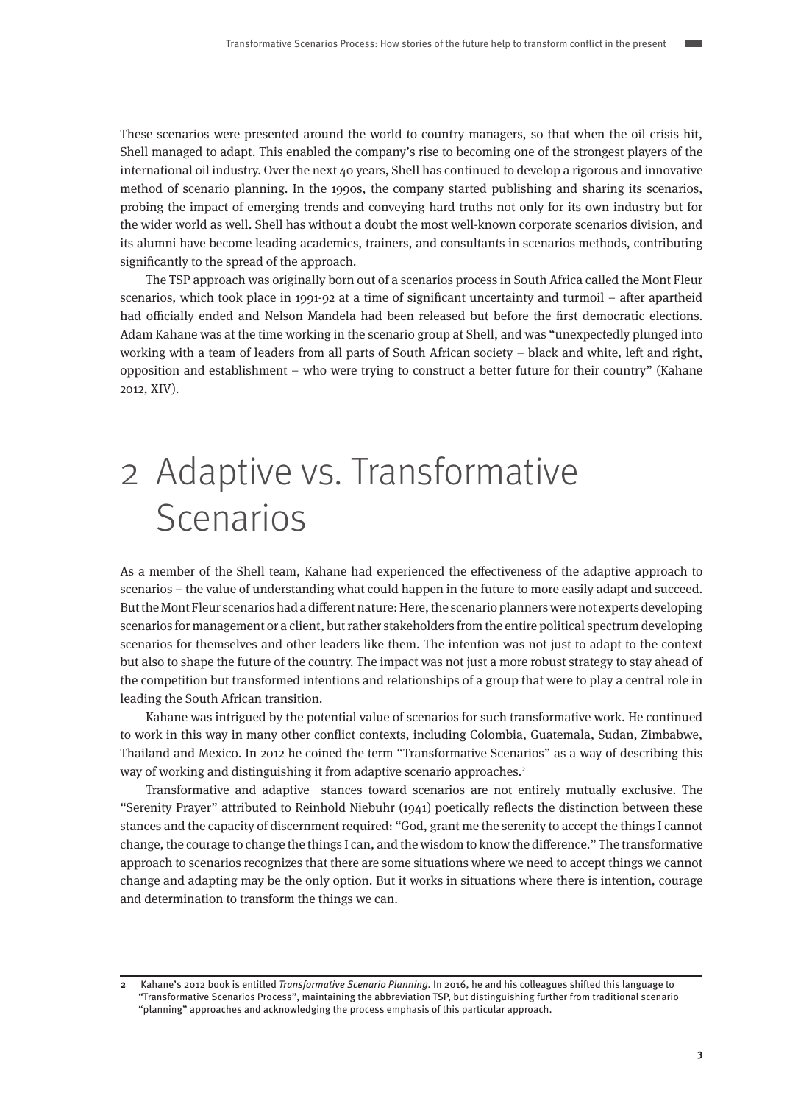<span id="page-2-0"></span>These scenarios were presented around the world to country managers, so that when the oil crisis hit, Shell managed to adapt. This enabled the company's rise to becoming one of the strongest players of the international oil industry. Over the next 40 years, Shell has continued to develop a rigorous and innovative method of scenario planning. In the 1990s, the company started publishing and sharing its scenarios, probing the impact of emerging trends and conveying hard truths not only for its own industry but for the wider world as well. Shell has without a doubt the most well-known corporate scenarios division, and its alumni have become leading academics, trainers, and consultants in scenarios methods, contributing significantly to the spread of the approach.

The TSP approach was originally born out of a scenarios process in South Africa called the Mont Fleur scenarios, which took place in 1991-92 at a time of significant uncertainty and turmoil – after apartheid had officially ended and Nelson Mandela had been released but before the first democratic elections. Adam Kahane was at the time working in the scenario group at Shell, and was "unexpectedly plunged into working with a team of leaders from all parts of South African society – black and white, left and right, opposition and establishment – who were trying to construct a better future for their country" (Kahane 2012, XIV).

# 2 Adaptive vs. Transformative Scenarios

As a member of the Shell team, Kahane had experienced the effectiveness of the adaptive approach to scenarios – the value of understanding what could happen in the future to more easily adapt and succeed. But the Mont Fleur scenarios had a different nature: Here, the scenario planners were not experts developing scenarios for management or a client, but rather stakeholders from the entire political spectrum developing scenarios for themselves and other leaders like them. The intention was not just to adapt to the context but also to shape the future of the country. The impact was not just a more robust strategy to stay ahead of the competition but transformed intentions and relationships of a group that were to play a central role in leading the South African transition.

Kahane was intrigued by the potential value of scenarios for such transformative work. He continued to work in this way in many other conflict contexts, including Colombia, Guatemala, Sudan, Zimbabwe, Thailand and Mexico. In 2012 he coined the term "Transformative Scenarios" as a way of describing this way of working and distinguishing it from adaptive scenario approaches.<sup>2</sup>

Transformative and adaptive stances toward scenarios are not entirely mutually exclusive. The "Serenity Prayer" attributed to Reinhold Niebuhr (1941) poetically reflects the distinction between these stances and the capacity of discernment required: "God, grant me the serenity to accept the things I cannot change, the courage to change the things I can, and the wisdom to know the difference." The transformative approach to scenarios recognizes that there are some situations where we need to accept things we cannot change and adapting may be the only option. But it works in situations where there is intention, courage and determination to transform the things we can.

**<sup>2</sup>** Kahane's 2012 book is entitled Transformative Scenario Planning. In 2016, he and his colleagues shifted this language to "Transformative Scenarios Process", maintaining the abbreviation TSP, but distinguishing further from traditional scenario "planning" approaches and acknowledging the process emphasis of this particular approach.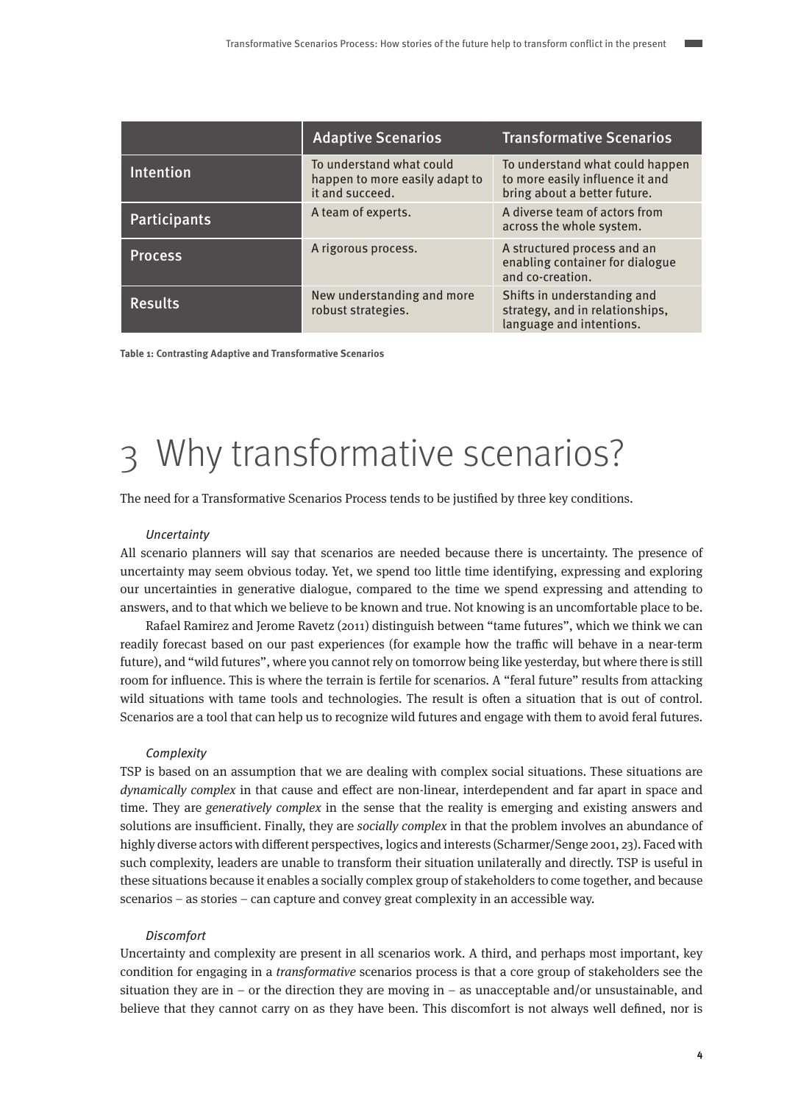<span id="page-3-0"></span>

|                | <b>Adaptive Scenarios</b>                                                     | <b>Transformative Scenarios</b>                                                                    |
|----------------|-------------------------------------------------------------------------------|----------------------------------------------------------------------------------------------------|
| Intention      | To understand what could<br>happen to more easily adapt to<br>it and succeed. | To understand what could happen<br>to more easily influence it and<br>bring about a better future. |
| Participants   | A team of experts.                                                            | A diverse team of actors from<br>across the whole system.                                          |
| <b>Process</b> | A rigorous process.                                                           | A structured process and an<br>enabling container for dialogue<br>and co-creation.                 |
| <b>Results</b> | New understanding and more<br>robust strategies.                              | Shifts in understanding and<br>strategy, and in relationships,<br>language and intentions.         |

**Table 1: Contrasting Adaptive and Transformative Scenarios**

# 3 Why transformative scenarios?

The need for a Transformative Scenarios Process tends to be justified by three key conditions.

### **Uncertainty**

All scenario planners will say that scenarios are needed because there is uncertainty. The presence of uncertainty may seem obvious today. Yet, we spend too little time identifying, expressing and exploring our uncertainties in generative dialogue, compared to the time we spend expressing and attending to answers, and to that which we believe to be known and true. Not knowing is an uncomfortable place to be.

Rafael Ramirez and Jerome Ravetz (2011) distinguish between "tame futures", which we think we can readily forecast based on our past experiences (for example how the traffic will behave in a near-term future), and "wild futures", where you cannot rely on tomorrow being like yesterday, but where there is still room for influence. This is where the terrain is fertile for scenarios. A "feral future" results from attacking wild situations with tame tools and technologies. The result is often a situation that is out of control. Scenarios are a tool that can help us to recognize wild futures and engage with them to avoid feral futures.

### **Complexity**

TSP is based on an assumption that we are dealing with complex social situations. These situations are dynamically complex in that cause and effect are non-linear, interdependent and far apart in space and time. They are *generatively complex* in the sense that the reality is emerging and existing answers and solutions are insufficient. Finally, they are *socially complex* in that the problem involves an abundance of highly diverse actors with different perspectives, logics and interests (Scharmer/Senge 2001, 23). Faced with such complexity, leaders are unable to transform their situation unilaterally and directly. TSP is useful in these situations because it enables a socially complex group of stakeholders to come together, and because scenarios – as stories – can capture and convey great complexity in an accessible way.

### **Discomfort**

Uncertainty and complexity are present in all scenarios work. A third, and perhaps most important, key condition for engaging in a transformative scenarios process is that a core group of stakeholders see the situation they are in – or the direction they are moving in – as unacceptable and/or unsustainable, and believe that they cannot carry on as they have been. This discomfort is not always well defined, nor is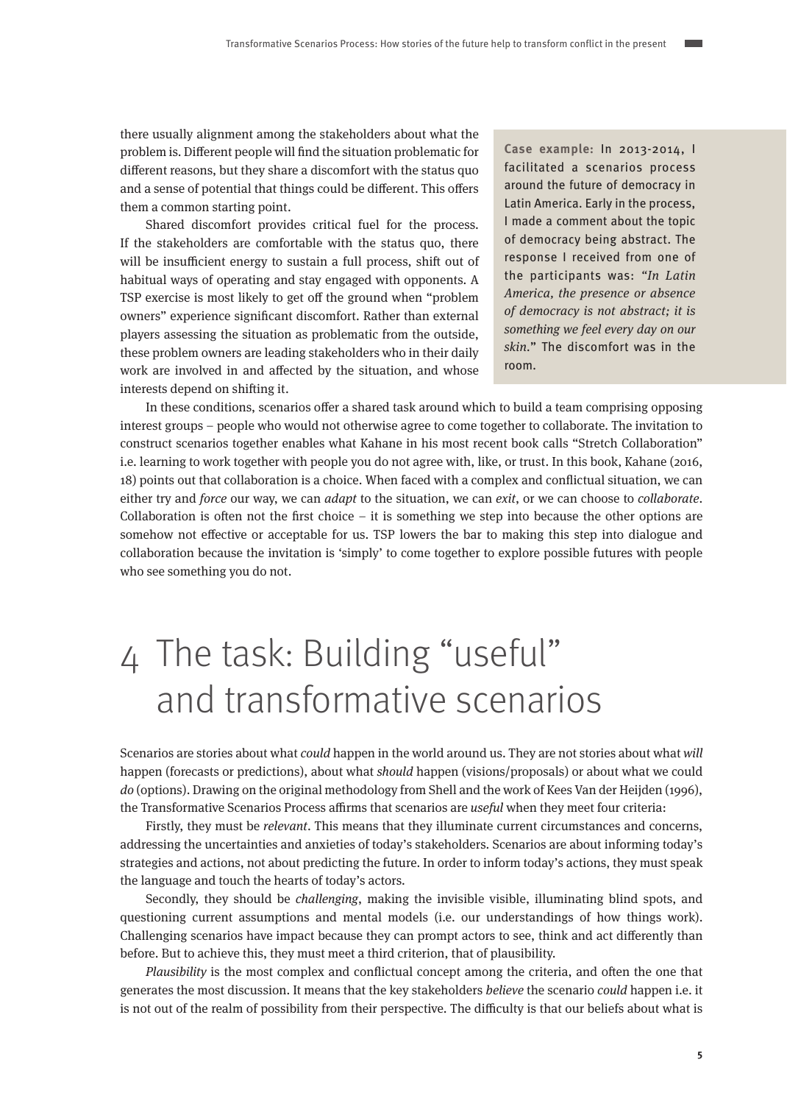<span id="page-4-0"></span>there usually alignment among the stakeholders about what the problem is. Different people will find the situation problematic for different reasons, but they share a discomfort with the status quo and a sense of potential that things could be different. This offers them a common starting point.

Shared discomfort provides critical fuel for the process. If the stakeholders are comfortable with the status quo, there will be insufficient energy to sustain a full process, shift out of habitual ways of operating and stay engaged with opponents. A TSP exercise is most likely to get off the ground when "problem owners" experience significant discomfort. Rather than external players assessing the situation as problematic from the outside, these problem owners are leading stakeholders who in their daily work are involved in and affected by the situation, and whose interests depend on shifting it.

**Case example:** In 2013-2014, I facilitated a scenarios process around the future of democracy in Latin America. Early in the process, I made a comment about the topic of democracy being abstract. The response I received from one of the participants was: "In Latin America, the presence or absence of democracy is not abstract; it is something we feel every day on our skin." The discomfort was in the room.

In these conditions, scenarios offer a shared task around which to build a team comprising opposing interest groups – people who would not otherwise agree to come together to collaborate. The invitation to construct scenarios together enables what Kahane in his most recent book calls "Stretch Collaboration" i.e. learning to work together with people you do not agree with, like, or trust. In this book, Kahane (2016, 18) points out that collaboration is a choice. When faced with a complex and conflictual situation, we can either try and force our way, we can *adapt* to the situation, we can *exit*, or we can choose to *collaborate*. Collaboration is often not the first choice – it is something we step into because the other options are somehow not effective or acceptable for us. TSP lowers the bar to making this step into dialogue and collaboration because the invitation is 'simply' to come together to explore possible futures with people who see something you do not.

# 4 The task: Building "useful" and transformative scenarios

Scenarios are stories about what could happen in the world around us. They are not stories about what will happen (forecasts or predictions), about what should happen (visions/proposals) or about what we could do (options). Drawing on the original methodology from Shell and the work of Kees Van der Heijden (1996), the Transformative Scenarios Process affirms that scenarios are useful when they meet four criteria:

Firstly, they must be relevant. This means that they illuminate current circumstances and concerns, addressing the uncertainties and anxieties of today's stakeholders. Scenarios are about informing today's strategies and actions, not about predicting the future. In order to inform today's actions, they must speak the language and touch the hearts of today's actors.

Secondly, they should be challenging, making the invisible visible, illuminating blind spots, and questioning current assumptions and mental models (i.e. our understandings of how things work). Challenging scenarios have impact because they can prompt actors to see, think and act differently than before. But to achieve this, they must meet a third criterion, that of plausibility.

Plausibility is the most complex and conflictual concept among the criteria, and often the one that generates the most discussion. It means that the key stakeholders believe the scenario could happen i.e. it is not out of the realm of possibility from their perspective. The difficulty is that our beliefs about what is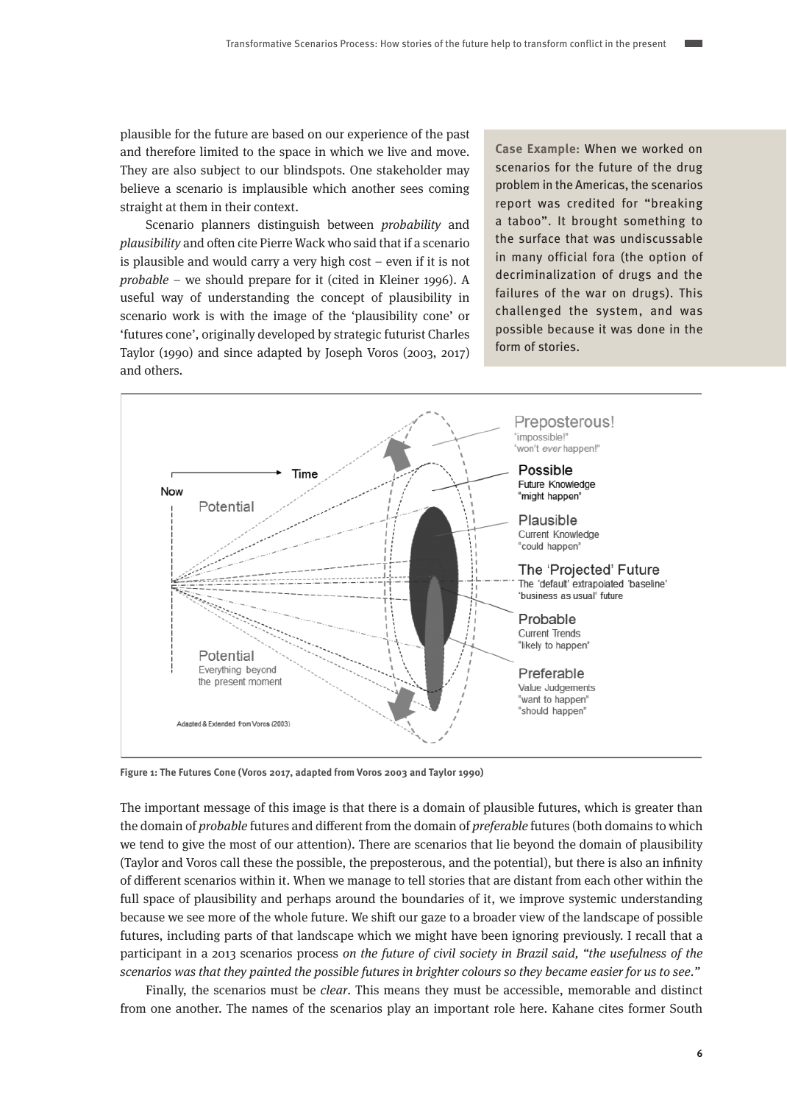plausible for the future are based on our experience of the past and therefore limited to the space in which we live and move. They are also subject to our blindspots. One stakeholder may believe a scenario is implausible which another sees coming straight at them in their context.

Scenario planners distinguish between probability and plausibility and often cite Pierre Wack who said that if a scenario is plausible and would carry a very high cost – even if it is not probable – we should prepare for it (cited in Kleiner 1996). A useful way of understanding the concept of plausibility in scenario work is with the image of the 'plausibility cone' or 'futures cone', originally developed by strategic futurist Charles Taylor (1990) and since adapted by Joseph Voros (2003, 2017) and others.

**Case Example:** When we worked on scenarios for the future of the drug problem in the Americas, the scenarios report was credited for "breaking a taboo". It brought something to the surface that was undiscussable in many official fora (the option of decriminalization of drugs and the failures of the war on drugs). This challenged the system, and was possible because it was done in the form of stories.



**Figure 1: The Futures Cone (Voros 2017, adapted from Voros 2003 and Taylor 1990)**

The important message of this image is that there is a domain of plausible futures, which is greater than the domain of *probable* futures and different from the domain of *preferable* futures (both domains to which we tend to give the most of our attention). There are scenarios that lie beyond the domain of plausibility (Taylor and Voros call these the possible, the preposterous, and the potential), but there is also an infinity of different scenarios within it. When we manage to tell stories that are distant from each other within the full space of plausibility and perhaps around the boundaries of it, we improve systemic understanding because we see more of the whole future. We shift our gaze to a broader view of the landscape of possible futures, including parts of that landscape which we might have been ignoring previously. I recall that a participant in a 2013 scenarios process on the future of civil society in Brazil said, "the usefulness of the scenarios was that they painted the possible futures in brighter colours so they became easier for us to see."

Finally, the scenarios must be clear. This means they must be accessible, memorable and distinct from one another. The names of the scenarios play an important role here. Kahane cites former South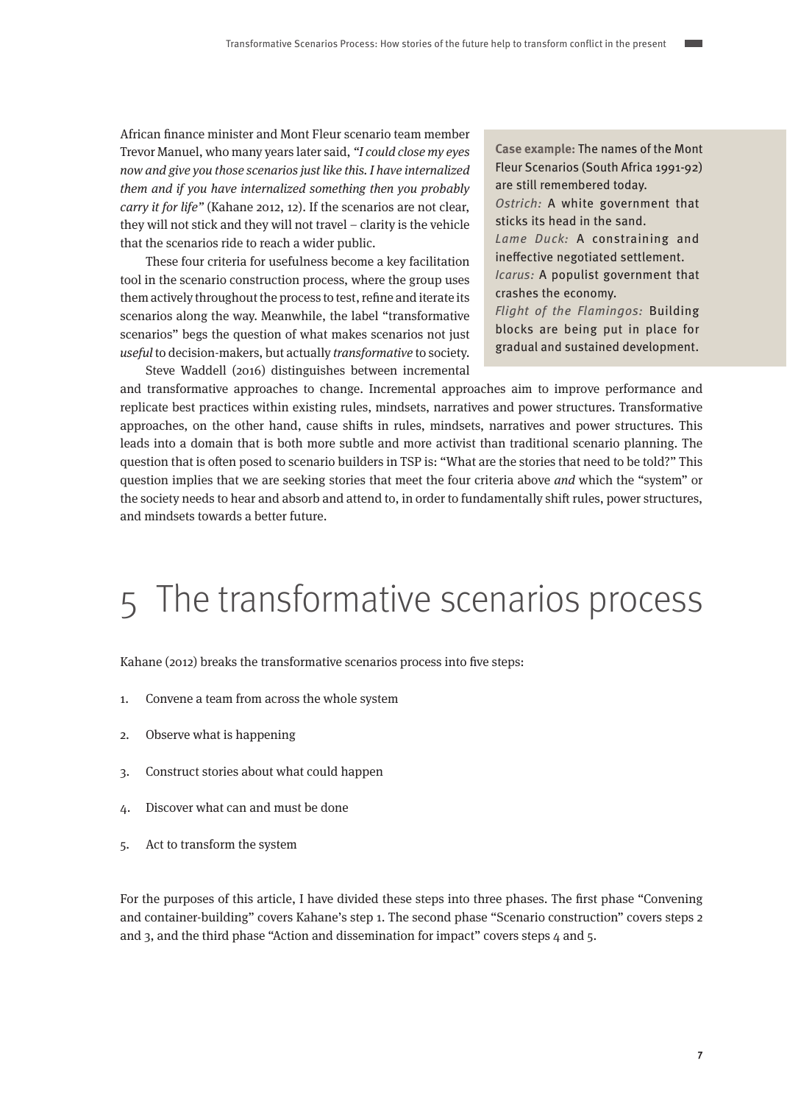<span id="page-6-0"></span>African finance minister and Mont Fleur scenario team member Trevor Manuel, who many years later said, "I could close my eyes now and give you those scenarios just like this. I have internalized them and if you have internalized something then you probably carry it for life" (Kahane 2012, 12). If the scenarios are not clear, they will not stick and they will not travel – clarity is the vehicle that the scenarios ride to reach a wider public.

These four criteria for usefulness become a key facilitation tool in the scenario construction process, where the group uses them actively throughout the process to test, refine and iterate its scenarios along the way. Meanwhile, the label "transformative scenarios" begs the question of what makes scenarios not just useful to decision-makers, but actually transformative to society. Steve Waddell (2016) distinguishes between incremental **Case example:** The names of the Mont Fleur Scenarios (South Africa 1991-92) are still remembered today.

Ostrich: A white government that sticks its head in the sand.

Lame Duck: A constraining and ineffective negotiated settlement. Icarus: A populist government that

crashes the economy.

Flight of the Flamingos: Building blocks are being put in place for gradual and sustained development.

and transformative approaches to change. Incremental approaches aim to improve performance and replicate best practices within existing rules, mindsets, narratives and power structures. Transformative approaches, on the other hand, cause shifts in rules, mindsets, narratives and power structures. This leads into a domain that is both more subtle and more activist than traditional scenario planning. The question that is often posed to scenario builders in TSP is: "What are the stories that need to be told?" This question implies that we are seeking stories that meet the four criteria above and which the "system" or the society needs to hear and absorb and attend to, in order to fundamentally shift rules, power structures, and mindsets towards a better future.

## 5 The transformative scenarios process

Kahane (2012) breaks the transformative scenarios process into five steps:

- 1. Convene a team from across the whole system
- 2. Observe what is happening
- 3. Construct stories about what could happen
- 4. Discover what can and must be done
- 5. Act to transform the system

For the purposes of this article, I have divided these steps into three phases. The first phase "Convening and container-building" covers Kahane's step 1. The second phase "Scenario construction" covers steps 2 and 3, and the third phase "Action and dissemination for impact" covers steps 4 and 5.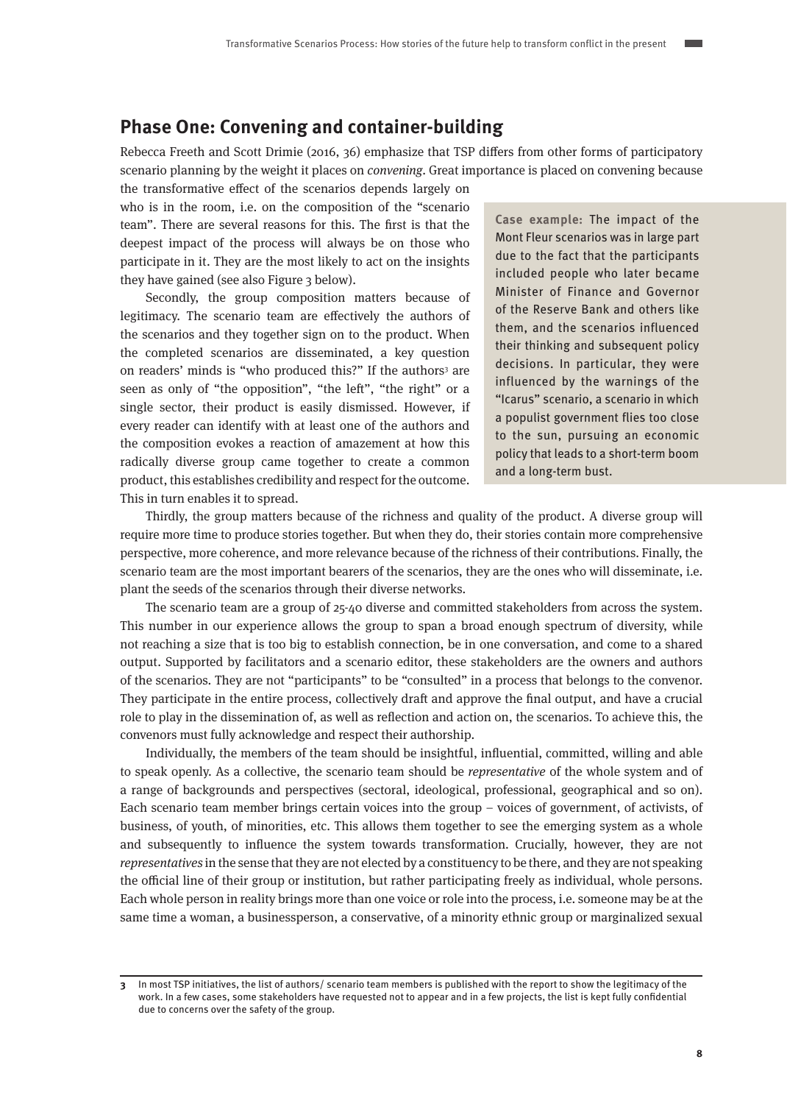### <span id="page-7-0"></span>**Phase One: Convening and container-building**

Rebecca Freeth and Scott Drimie (2016, 36) emphasize that TSP differs from other forms of participatory scenario planning by the weight it places on *convening*. Great importance is placed on convening because the transformative effect of the scenarios depends largely on

who is in the room, i.e. on the composition of the "scenario team". There are several reasons for this. The first is that the deepest impact of the process will always be on those who participate in it. They are the most likely to act on the insights they have gained (see also Figure 3 below).

Secondly, the group composition matters because of legitimacy. The scenario team are effectively the authors of the scenarios and they together sign on to the product. When the completed scenarios are disseminated, a key question on readers' minds is "who produced this?" If the authors<sup>3</sup> are seen as only of "the opposition", "the left", "the right" or a single sector, their product is easily dismissed. However, if every reader can identify with at least one of the authors and the composition evokes a reaction of amazement at how this radically diverse group came together to create a common product, this establishes credibility and respect for the outcome. This in turn enables it to spread.

**Case example:** The impact of the Mont Fleur scenarios was in large part due to the fact that the participants included people who later became Minister of Finance and Governor of the Reserve Bank and others like them, and the scenarios influenced their thinking and subsequent policy decisions. In particular, they were influenced by the warnings of the "Icarus" scenario, a scenario in which a populist government flies too close to the sun, pursuing an economic policy that leads to a short-term boom and a long-term bust.

Thirdly, the group matters because of the richness and quality of the product. A diverse group will require more time to produce stories together. But when they do, their stories contain more comprehensive perspective, more coherence, and more relevance because of the richness of their contributions. Finally, the scenario team are the most important bearers of the scenarios, they are the ones who will disseminate, i.e. plant the seeds of the scenarios through their diverse networks.

The scenario team are a group of 25-40 diverse and committed stakeholders from across the system. This number in our experience allows the group to span a broad enough spectrum of diversity, while not reaching a size that is too big to establish connection, be in one conversation, and come to a shared output. Supported by facilitators and a scenario editor, these stakeholders are the owners and authors of the scenarios. They are not "participants" to be "consulted" in a process that belongs to the convenor. They participate in the entire process, collectively draft and approve the final output, and have a crucial role to play in the dissemination of, as well as reflection and action on, the scenarios. To achieve this, the convenors must fully acknowledge and respect their authorship.

Individually, the members of the team should be insightful, influential, committed, willing and able to speak openly. As a collective, the scenario team should be representative of the whole system and of a range of backgrounds and perspectives (sectoral, ideological, professional, geographical and so on). Each scenario team member brings certain voices into the group – voices of government, of activists, of business, of youth, of minorities, etc. This allows them together to see the emerging system as a whole and subsequently to influence the system towards transformation. Crucially, however, they are not representatives in the sense that they are not elected by a constituency to be there, and they are not speaking the official line of their group or institution, but rather participating freely as individual, whole persons. Each whole person in reality brings more than one voice or role into the process, i.e. someone may be at the same time a woman, a businessperson, a conservative, of a minority ethnic group or marginalized sexual

**<sup>3</sup>** In most TSP initiatives, the list of authors/ scenario team members is published with the report to show the legitimacy of the work. In a few cases, some stakeholders have requested not to appear and in a few projects, the list is kept fully confidential due to concerns over the safety of the group.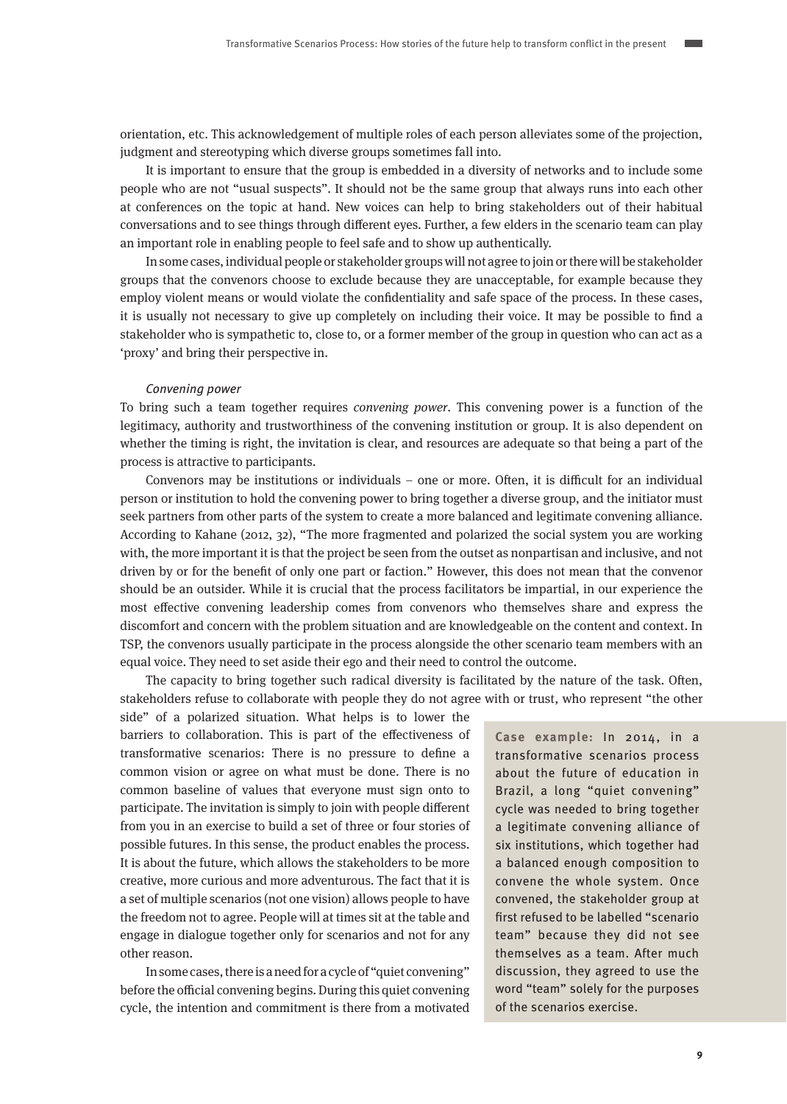orientation, etc. This acknowledgement of multiple roles of each person alleviates some of the projection, judgment and stereotyping which diverse groups sometimes fall into.

It is important to ensure that the group is embedded in a diversity of networks and to include some people who are not "usual suspects". It should not be the same group that always runs into each other at conferences on the topic at hand. New voices can help to bring stakeholders out of their habitual conversations and to see things through different eyes. Further, a few elders in the scenario team can play an important role in enabling people to feel safe and to show up authentically.

In some cases, individual people or stakeholder groups will not agree to join or there will be stakeholder groups that the convenors choose to exclude because they are unacceptable, for example because they employ violent means or would violate the confidentiality and safe space of the process. In these cases, it is usually not necessary to give up completely on including their voice. It may be possible to find a stakeholder who is sympathetic to, close to, or a former member of the group in question who can act as a 'proxy' and bring their perspective in.

#### Convening power

To bring such a team together requires convening power. This convening power is a function of the legitimacy, authority and trustworthiness of the convening institution or group. It is also dependent on whether the timing is right, the invitation is clear, and resources are adequate so that being a part of the process is attractive to participants.

Convenors may be institutions or individuals – one or more. Often, it is difficult for an individual person or institution to hold the convening power to bring together a diverse group, and the initiator must seek partners from other parts of the system to create a more balanced and legitimate convening alliance. According to Kahane (2012, 32), "The more fragmented and polarized the social system you are working with, the more important it is that the project be seen from the outset as nonpartisan and inclusive, and not driven by or for the benefit of only one part or faction." However, this does not mean that the convenor should be an outsider. While it is crucial that the process facilitators be impartial, in our experience the most effective convening leadership comes from convenors who themselves share and express the discomfort and concern with the problem situation and are knowledgeable on the content and context. In TSP, the convenors usually participate in the process alongside the other scenario team members with an equal voice. They need to set aside their ego and their need to control the outcome.

The capacity to bring together such radical diversity is facilitated by the nature of the task. Often, stakeholders refuse to collaborate with people they do not agree with or trust, who represent "the other

side" of a polarized situation. What helps is to lower the barriers to collaboration. This is part of the effectiveness of transformative scenarios: There is no pressure to define a common vision or agree on what must be done. There is no common baseline of values that everyone must sign onto to participate. The invitation is simply to join with people different from you in an exercise to build a set of three or four stories of possible futures. In this sense, the product enables the process. It is about the future, which allows the stakeholders to be more creative, more curious and more adventurous. The fact that it is a set of multiple scenarios (not one vision) allows people to have the freedom not to agree. People will at times sit at the table and engage in dialogue together only for scenarios and not for any other reason.

In some cases, there is a need for a cycle of "quiet convening" before the official convening begins. During this quiet convening cycle, the intention and commitment is there from a motivated **Case example:** In 2014, in a transformative scenarios process about the future of education in Brazil, a long "quiet convening" cycle was needed to bring together a legitimate convening alliance of six institutions, which together had a balanced enough composition to convene the whole system. Once convened, the stakeholder group at first refused to be labelled "scenario team" because they did not see themselves as a team. After much discussion, they agreed to use the word "team" solely for the purposes of the scenarios exercise.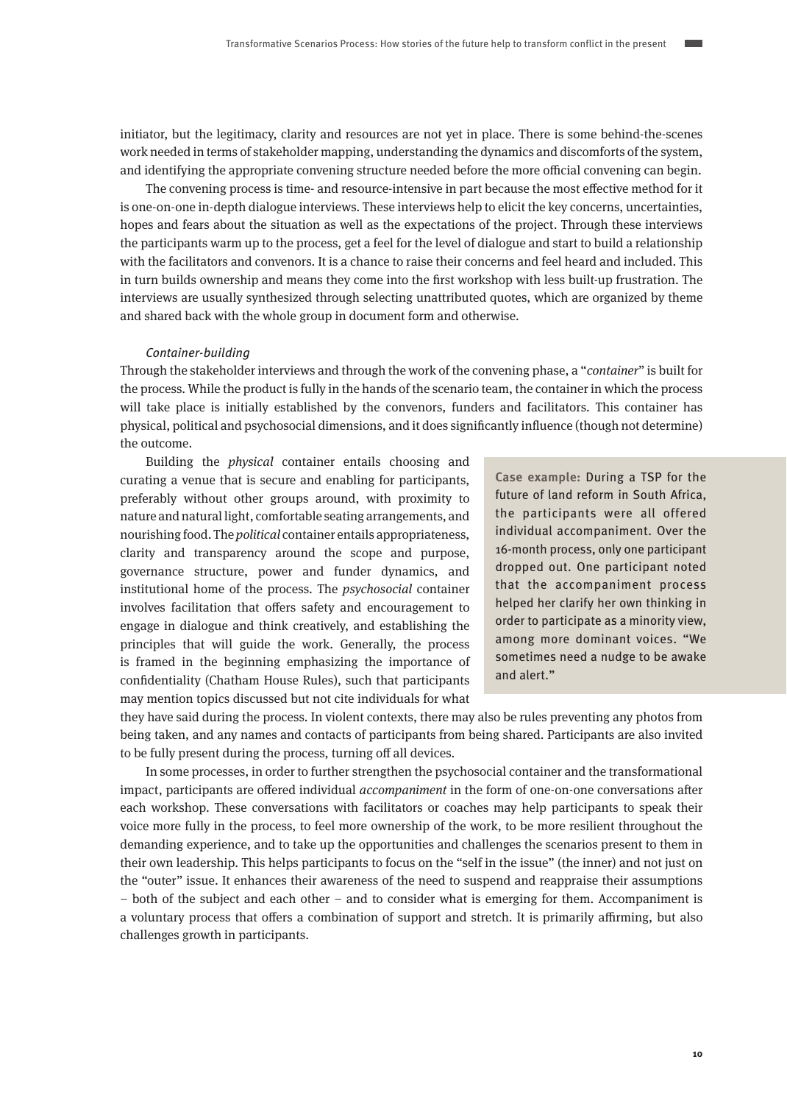initiator, but the legitimacy, clarity and resources are not yet in place. There is some behind-the-scenes work needed in terms of stakeholder mapping, understanding the dynamics and discomforts of the system, and identifying the appropriate convening structure needed before the more official convening can begin.

The convening process is time- and resource-intensive in part because the most effective method for it is one-on-one in-depth dialogue interviews. These interviews help to elicit the key concerns, uncertainties, hopes and fears about the situation as well as the expectations of the project. Through these interviews the participants warm up to the process, get a feel for the level of dialogue and start to build a relationship with the facilitators and convenors. It is a chance to raise their concerns and feel heard and included. This in turn builds ownership and means they come into the first workshop with less built-up frustration. The interviews are usually synthesized through selecting unattributed quotes, which are organized by theme and shared back with the whole group in document form and otherwise.

### Container-building

Through the stakeholder interviews and through the work of the convening phase, a "container" is built for the process. While the product is fully in the hands of the scenario team, the container in which the process will take place is initially established by the convenors, funders and facilitators. This container has physical, political and psychosocial dimensions, and it does significantly influence (though not determine) the outcome.

Building the physical container entails choosing and curating a venue that is secure and enabling for participants, preferably without other groups around, with proximity to nature and natural light, comfortable seating arrangements, and nourishing food. The political container entails appropriateness, clarity and transparency around the scope and purpose, governance structure, power and funder dynamics, and institutional home of the process. The psychosocial container involves facilitation that offers safety and encouragement to engage in dialogue and think creatively, and establishing the principles that will guide the work. Generally, the process is framed in the beginning emphasizing the importance of confidentiality (Chatham House Rules), such that participants may mention topics discussed but not cite individuals for what

**Case example:** During a TSP for the future of land reform in South Africa, the participants were all offered individual accompaniment. Over the 16-month process, only one participant dropped out. One participant noted that the accompaniment process helped her clarify her own thinking in order to participate as a minority view, among more dominant voices. "We sometimes need a nudge to be awake and alert."

they have said during the process. In violent contexts, there may also be rules preventing any photos from being taken, and any names and contacts of participants from being shared. Participants are also invited to be fully present during the process, turning off all devices.

In some processes, in order to further strengthen the psychosocial container and the transformational impact, participants are offered individual *accompaniment* in the form of one-on-one conversations after each workshop. These conversations with facilitators or coaches may help participants to speak their voice more fully in the process, to feel more ownership of the work, to be more resilient throughout the demanding experience, and to take up the opportunities and challenges the scenarios present to them in their own leadership. This helps participants to focus on the "self in the issue" (the inner) and not just on the "outer" issue. It enhances their awareness of the need to suspend and reappraise their assumptions – both of the subject and each other – and to consider what is emerging for them. Accompaniment is a voluntary process that offers a combination of support and stretch. It is primarily affirming, but also challenges growth in participants.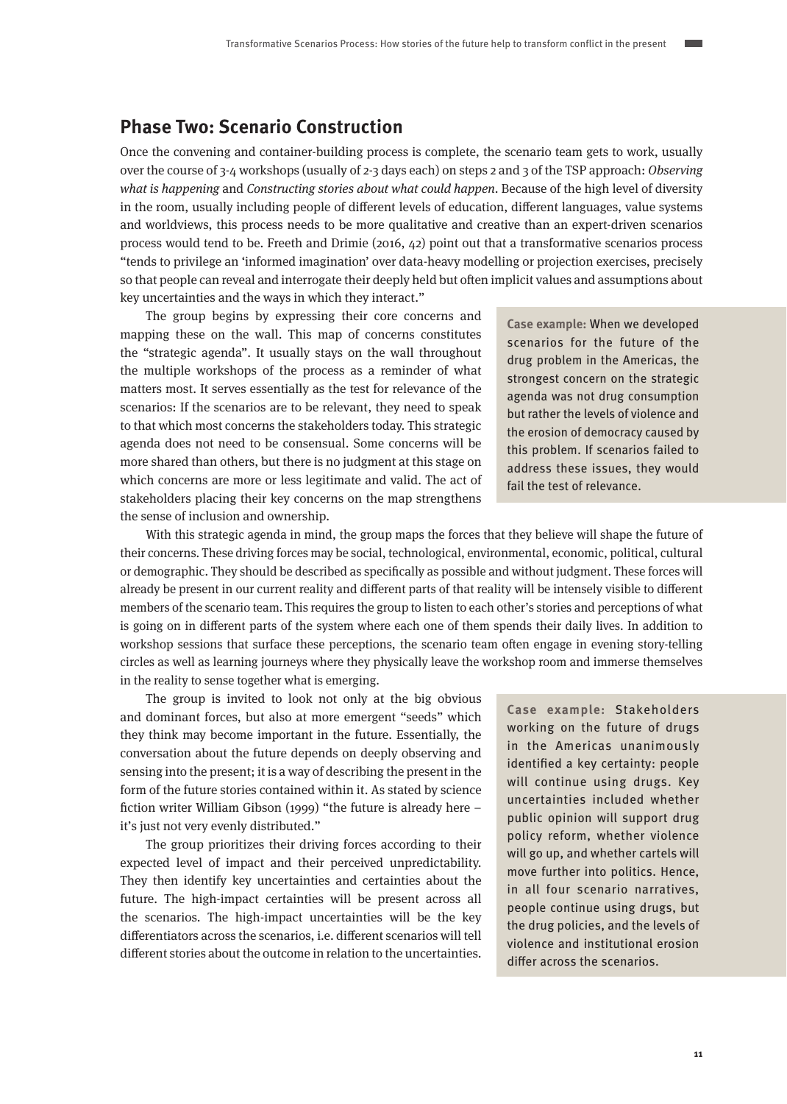### <span id="page-10-0"></span>**Phase Two: Scenario Construction**

Once the convening and container-building process is complete, the scenario team gets to work, usually over the course of 3-4 workshops (usually of 2-3 days each) on steps 2 and 3 of the TSP approach: Observing what is happening and Constructing stories about what could happen. Because of the high level of diversity in the room, usually including people of different levels of education, different languages, value systems and worldviews, this process needs to be more qualitative and creative than an expert-driven scenarios process would tend to be. Freeth and Drimie (2016, 42) point out that a transformative scenarios process "tends to privilege an 'informed imagination' over data-heavy modelling or projection exercises, precisely so that people can reveal and interrogate their deeply held but often implicit values and assumptions about key uncertainties and the ways in which they interact."

The group begins by expressing their core concerns and mapping these on the wall. This map of concerns constitutes the "strategic agenda". It usually stays on the wall throughout the multiple workshops of the process as a reminder of what matters most. It serves essentially as the test for relevance of the scenarios: If the scenarios are to be relevant, they need to speak to that which most concerns the stakeholders today. This strategic agenda does not need to be consensual. Some concerns will be more shared than others, but there is no judgment at this stage on which concerns are more or less legitimate and valid. The act of stakeholders placing their key concerns on the map strengthens the sense of inclusion and ownership.

**Case example:** When we developed scenarios for the future of the drug problem in the Americas, the strongest concern on the strategic agenda was not drug consumption but rather the levels of violence and the erosion of democracy caused by this problem. If scenarios failed to address these issues, they would fail the test of relevance.

With this strategic agenda in mind, the group maps the forces that they believe will shape the future of their concerns. These driving forces may be social, technological, environmental, economic, political, cultural or demographic. They should be described as specifically as possible and without judgment. These forces will already be present in our current reality and different parts of that reality will be intensely visible to different members of the scenario team. This requires the group to listen to each other's stories and perceptions of what is going on in different parts of the system where each one of them spends their daily lives. In addition to workshop sessions that surface these perceptions, the scenario team often engage in evening story-telling circles as well as learning journeys where they physically leave the workshop room and immerse themselves in the reality to sense together what is emerging.

The group is invited to look not only at the big obvious and dominant forces, but also at more emergent "seeds" which they think may become important in the future. Essentially, the conversation about the future depends on deeply observing and sensing into the present; it is a way of describing the present in the form of the future stories contained within it. As stated by science fiction writer William Gibson (1999) "the future is already here – it's just not very evenly distributed."

The group prioritizes their driving forces according to their expected level of impact and their perceived unpredictability. They then identify key uncertainties and certainties about the future. The high-impact certainties will be present across all the scenarios. The high-impact uncertainties will be the key differentiators across the scenarios, i.e. different scenarios will tell different stories about the outcome in relation to the uncertainties.

**Case example:** Stakeholders working on the future of drugs in the Americas unanimously identified a key certainty: people will continue using drugs. Key uncertainties included whether public opinion will support drug policy reform, whether violence will go up, and whether cartels will move further into politics. Hence, in all four scenario narratives, people continue using drugs, but the drug policies, and the levels of violence and institutional erosion differ across the scenarios.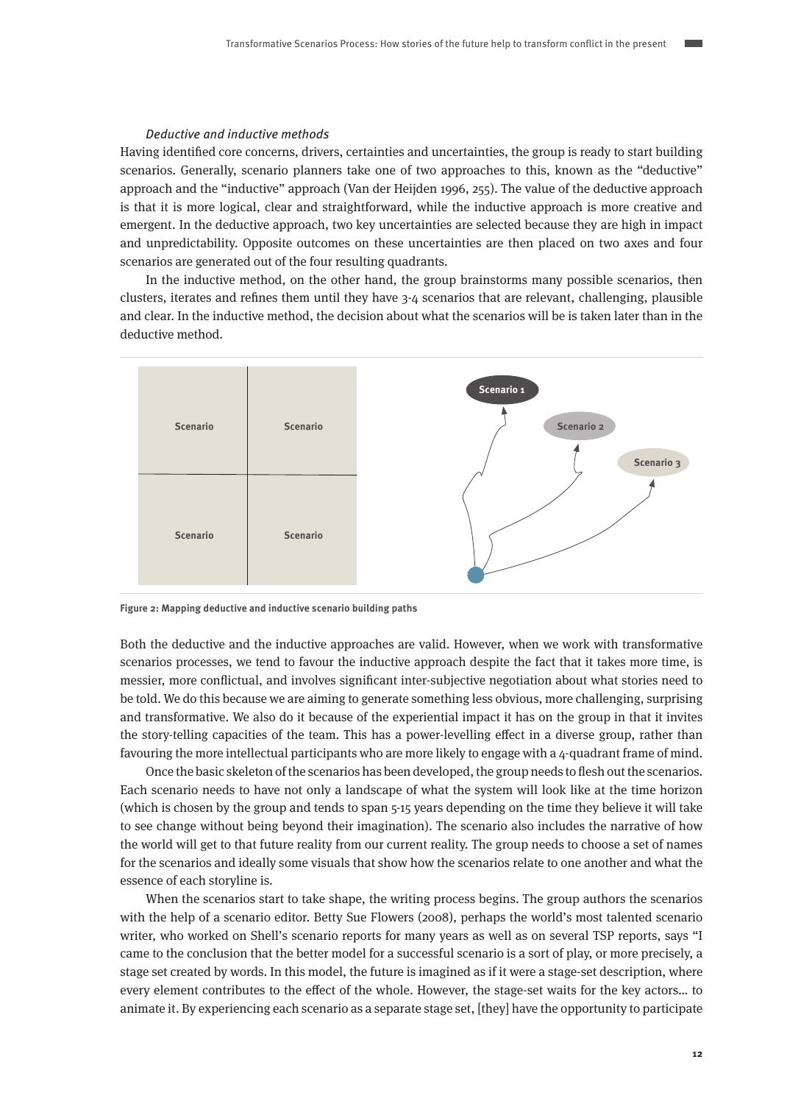### Deductive and inductive methods

Having identified core concerns, drivers, certainties and uncertainties, the group is ready to start building scenarios. Generally, scenario planners take one of two approaches to this, known as the "deductive" approach and the "inductive" approach (Van der Heijden 1996, 255). The value of the deductive approach is that it is more logical, clear and straightforward, while the inductive approach is more creative and emergent. In the deductive approach, two key uncertainties are selected because they are high in impact and unpredictability. Opposite outcomes on these uncertainties are then placed on two axes and four scenarios are generated out of the four resulting quadrants.

In the inductive method, on the other hand, the group brainstorms many possible scenarios, then clusters, iterates and refines them until they have 3-4 scenarios that are relevant, challenging, plausible and clear. In the inductive method, the decision about what the scenarios will be is taken later than in the deductive method.



**Figure 2: Mapping deductive and inductive scenario building paths**

Both the deductive and the inductive approaches are valid. However, when we work with transformative scenarios processes, we tend to favour the inductive approach despite the fact that it takes more time, is messier, more conflictual, and involves significant inter-subjective negotiation about what stories need to be told. We do this because we are aiming to generate something less obvious, more challenging, surprising and transformative. We also do it because of the experiential impact it has on the group in that it invites the story-telling capacities of the team. This has a power-levelling effect in a diverse group, rather than favouring the more intellectual participants who are more likely to engage with a 4-quadrant frame of mind.

Once the basic skeleton of the scenarios has been developed, the group needs to flesh out the scenarios. Each scenario needs to have not only a landscape of what the system will look like at the time horizon (which is chosen by the group and tends to span 5-15 years depending on the time they believe it will take to see change without being beyond their imagination). The scenario also includes the narrative of how the world will get to that future reality from our current reality. The group needs to choose a set of names for the scenarios and ideally some visuals that show how the scenarios relate to one another and what the essence of each storyline is.

When the scenarios start to take shape, the writing process begins. The group authors the scenarios with the help of a scenario editor. Betty Sue Flowers (2008), perhaps the world's most talented scenario writer, who worked on Shell's scenario reports for many years as well as on several TSP reports, says "I came to the conclusion that the better model for a successful scenario is a sort of play, or more precisely, a stage set created by words. In this model, the future is imagined as if it were a stage-set description, where every element contributes to the effect of the whole. However, the stage-set waits for the key actors… to animate it. By experiencing each scenario as a separate stage set, [they] have the opportunity to participate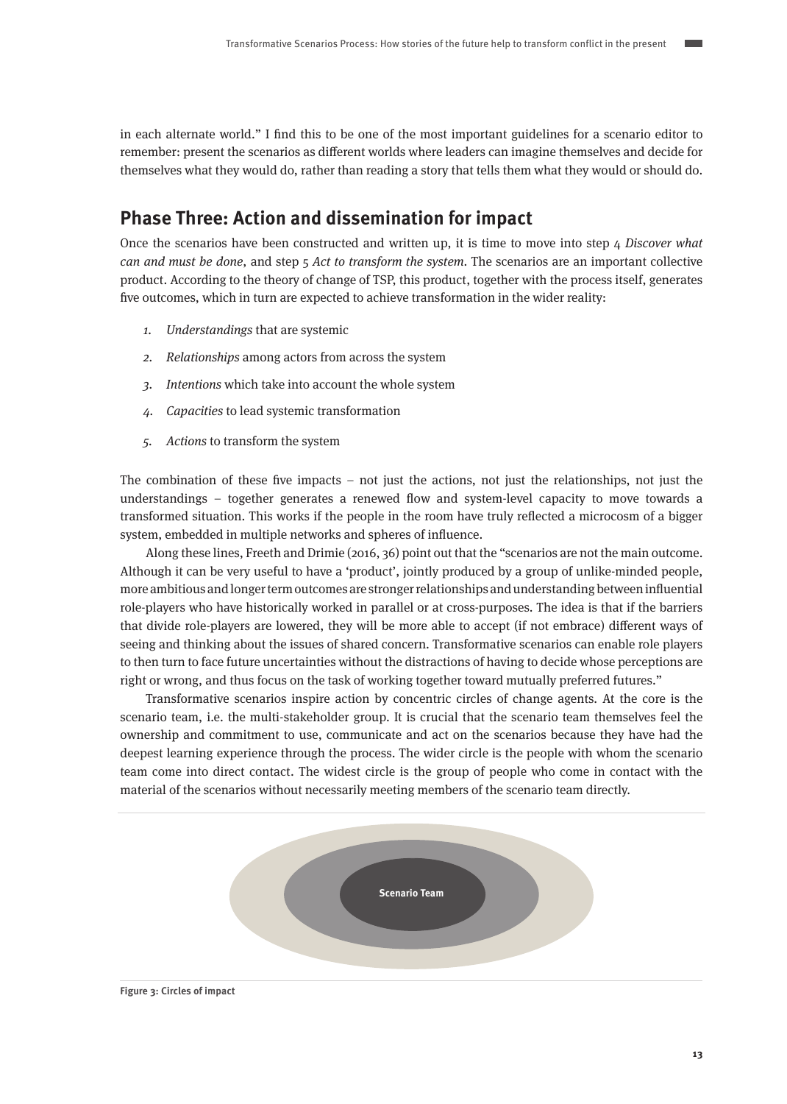<span id="page-12-0"></span>in each alternate world." I find this to be one of the most important guidelines for a scenario editor to remember: present the scenarios as different worlds where leaders can imagine themselves and decide for themselves what they would do, rather than reading a story that tells them what they would or should do.

### **Phase Three: Action and dissemination for impact**

Once the scenarios have been constructed and written up, it is time to move into step  $\mu$  Discover what can and must be done, and step  $\frac{1}{2}$  Act to transform the system. The scenarios are an important collective product. According to the theory of change of TSP, this product, together with the process itself, generates five outcomes, which in turn are expected to achieve transformation in the wider reality:

- 1. Understandings that are systemic
- 2. Relationships among actors from across the system
- 3. Intentions which take into account the whole system
- 4. Capacities to lead systemic transformation
- 5. Actions to transform the system

The combination of these five impacts – not just the actions, not just the relationships, not just the understandings – together generates a renewed flow and system-level capacity to move towards a transformed situation. This works if the people in the room have truly reflected a microcosm of a bigger system, embedded in multiple networks and spheres of influence.

Along these lines, Freeth and Drimie (2016, 36) point out that the "scenarios are not the main outcome. Although it can be very useful to have a 'product', jointly produced by a group of unlike-minded people, more ambitious and longer term outcomes are stronger relationships and understanding between influential role-players who have historically worked in parallel or at cross-purposes. The idea is that if the barriers that divide role-players are lowered, they will be more able to accept (if not embrace) different ways of seeing and thinking about the issues of shared concern. Transformative scenarios can enable role players to then turn to face future uncertainties without the distractions of having to decide whose perceptions are right or wrong, and thus focus on the task of working together toward mutually preferred futures."

Transformative scenarios inspire action by concentric circles of change agents. At the core is the scenario team, i.e. the multi-stakeholder group. It is crucial that the scenario team themselves feel the ownership and commitment to use, communicate and act on the scenarios because they have had the deepest learning experience through the process. The wider circle is the people with whom the scenario team come into direct contact. The widest circle is the group of people who come in contact with the material of the scenarios without necessarily meeting members of the scenario team directly.

**Scenario Team**

**Figure 3: Circles of impact**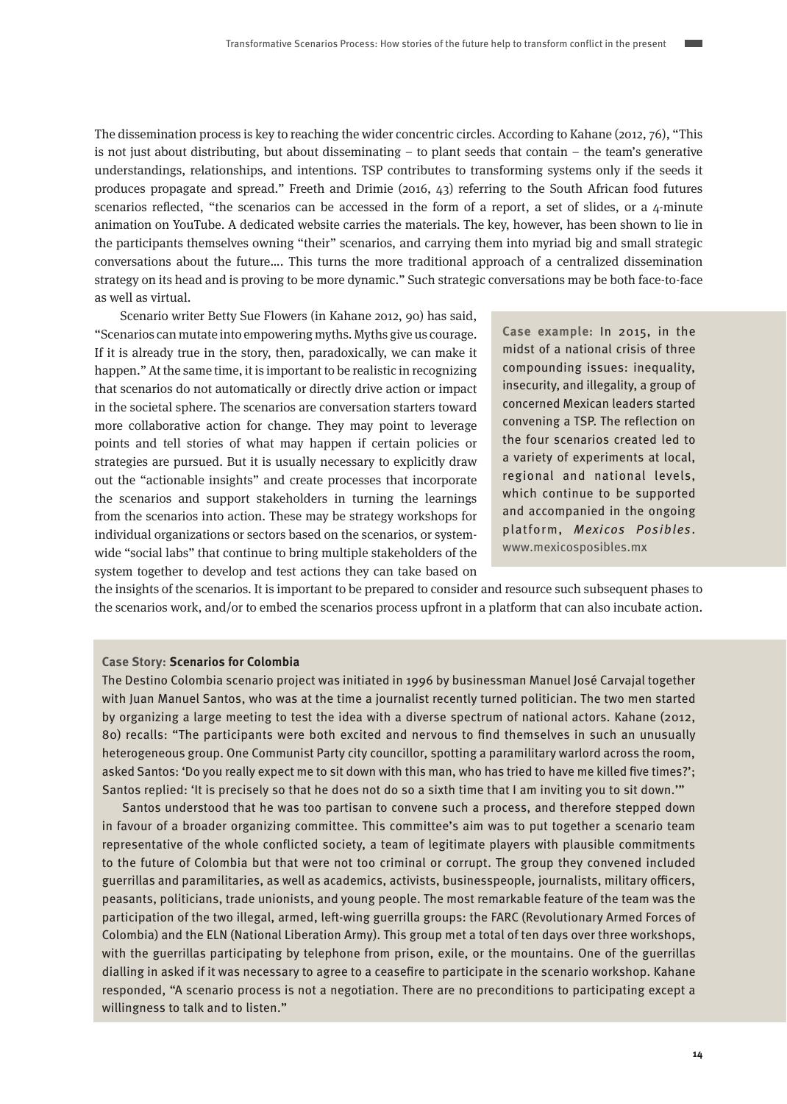The dissemination process is key to reaching the wider concentric circles. According to Kahane (2012, 76), "This is not just about distributing, but about disseminating – to plant seeds that contain – the team's generative understandings, relationships, and intentions. TSP contributes to transforming systems only if the seeds it produces propagate and spread." Freeth and Drimie (2016, 43) referring to the South African food futures scenarios reflected, "the scenarios can be accessed in the form of a report, a set of slides, or a 4-minute animation on YouTube. A dedicated website carries the materials. The key, however, has been shown to lie in the participants themselves owning "their" scenarios, and carrying them into myriad big and small strategic conversations about the future…. This turns the more traditional approach of a centralized dissemination strategy on its head and is proving to be more dynamic." Such strategic conversations may be both face-to-face as well as virtual.

Scenario writer Betty Sue Flowers (in Kahane 2012, 90) has said, "Scenarios can mutate into empowering myths. Myths give us courage. If it is already true in the story, then, paradoxically, we can make it happen." At the same time, it is important to be realistic in recognizing that scenarios do not automatically or directly drive action or impact in the societal sphere. The scenarios are conversation starters toward more collaborative action for change. They may point to leverage points and tell stories of what may happen if certain policies or strategies are pursued. But it is usually necessary to explicitly draw out the "actionable insights" and create processes that incorporate the scenarios and support stakeholders in turning the learnings from the scenarios into action. These may be strategy workshops for individual organizations or sectors based on the scenarios, or systemwide "social labs" that continue to bring multiple stakeholders of the system together to develop and test actions they can take based on

**Case example:** In 2015, in the midst of a national crisis of three compounding issues: inequality, insecurity, and illegality, a group of concerned Mexican leaders started convening a TSP. The reflection on the four scenarios created led to a variety of experiments at local, regional and national levels, which continue to be supported and accompanied in the ongoing platform, Mexicos Posibles. [www.mexicosposibles.mx](http://www.mexicosposibles.mx)

the insights of the scenarios. It is important to be prepared to consider and resource such subsequent phases to the scenarios work, and/or to embed the scenarios process upfront in a platform that can also incubate action.

### **Case Story: Scenarios for Colombia**

The Destino Colombia scenario project was initiated in 1996 by businessman Manuel José Carvajal together with Juan Manuel Santos, who was at the time a journalist recently turned politician. The two men started by organizing a large meeting to test the idea with a diverse spectrum of national actors. Kahane (2012, 80) recalls: "The participants were both excited and nervous to find themselves in such an unusually heterogeneous group. One Communist Party city councillor, spotting a paramilitary warlord across the room, asked Santos: 'Do you really expect me to sit down with this man, who has tried to have me killed five times?'; Santos replied: 'It is precisely so that he does not do so a sixth time that I am inviting you to sit down.'"

Santos understood that he was too partisan to convene such a process, and therefore stepped down in favour of a broader organizing committee. This committee's aim was to put together a scenario team representative of the whole conflicted society, a team of legitimate players with plausible commitments to the future of Colombia but that were not too criminal or corrupt. The group they convened included guerrillas and paramilitaries, as well as academics, activists, businesspeople, journalists, military officers, peasants, politicians, trade unionists, and young people. The most remarkable feature of the team was the participation of the two illegal, armed, left-wing guerrilla groups: the FARC (Revolutionary Armed Forces of Colombia) and the ELN (National Liberation Army). This group met a total of ten days over three workshops, with the guerrillas participating by telephone from prison, exile, or the mountains. One of the guerrillas dialling in asked if it was necessary to agree to a ceasefire to participate in the scenario workshop. Kahane responded, "A scenario process is not a negotiation. There are no preconditions to participating except a willingness to talk and to listen."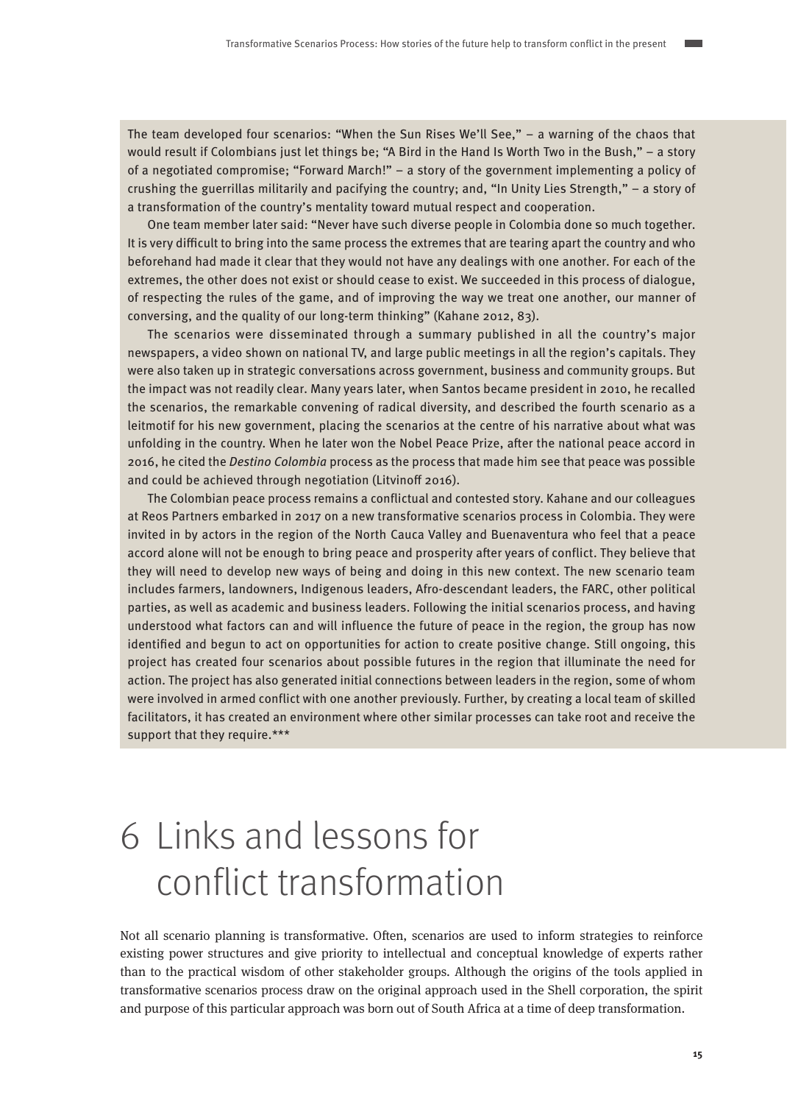<span id="page-14-0"></span>The team developed four scenarios: "When the Sun Rises We'll See," – a warning of the chaos that would result if Colombians just let things be; "A Bird in the Hand Is Worth Two in the Bush," – a story of a negotiated compromise; "Forward March!" – a story of the government implementing a policy of crushing the guerrillas militarily and pacifying the country; and, "In Unity Lies Strength," – a story of a transformation of the country's mentality toward mutual respect and cooperation.

One team member later said: "Never have such diverse people in Colombia done so much together. It is very difficult to bring into the same process the extremes that are tearing apart the country and who beforehand had made it clear that they would not have any dealings with one another. For each of the extremes, the other does not exist or should cease to exist. We succeeded in this process of dialogue, of respecting the rules of the game, and of improving the way we treat one another, our manner of conversing, and the quality of our long-term thinking" (Kahane 2012, 83).

The scenarios were disseminated through a summary published in all the country's major newspapers, a video shown on national TV, and large public meetings in all the region's capitals. They were also taken up in strategic conversations across government, business and community groups. But the impact was not readily clear. Many years later, when Santos became president in 2010, he recalled the scenarios, the remarkable convening of radical diversity, and described the fourth scenario as a leitmotif for his new government, placing the scenarios at the centre of his narrative about what was unfolding in the country. When he later won the Nobel Peace Prize, after the national peace accord in 2016, he cited the *Destino Colombia* process as the process that made him see that peace was possible and could be achieved through negotiation (Litvinoff 2016).

The Colombian peace process remains a conflictual and contested story. Kahane and our colleagues at Reos Partners embarked in 2017 on a new transformative scenarios process in Colombia. They were invited in by actors in the region of the North Cauca Valley and Buenaventura who feel that a peace accord alone will not be enough to bring peace and prosperity after years of conflict. They believe that they will need to develop new ways of being and doing in this new context. The new scenario team includes farmers, landowners, Indigenous leaders, Afro-descendant leaders, the FARC, other political parties, as well as academic and business leaders. Following the initial scenarios process, and having understood what factors can and will influence the future of peace in the region, the group has now identified and begun to act on opportunities for action to create positive change. Still ongoing, this project has created four scenarios about possible futures in the region that illuminate the need for action. The project has also generated initial connections between leaders in the region, some of whom were involved in armed conflict with one another previously. Further, by creating a local team of skilled facilitators, it has created an environment where other similar processes can take root and receive the support that they require.\*\*\*

# 6 Links and lessons for conflict transformation

Not all scenario planning is transformative. Often, scenarios are used to inform strategies to reinforce existing power structures and give priority to intellectual and conceptual knowledge of experts rather than to the practical wisdom of other stakeholder groups. Although the origins of the tools applied in transformative scenarios process draw on the original approach used in the Shell corporation, the spirit and purpose of this particular approach was born out of South Africa at a time of deep transformation.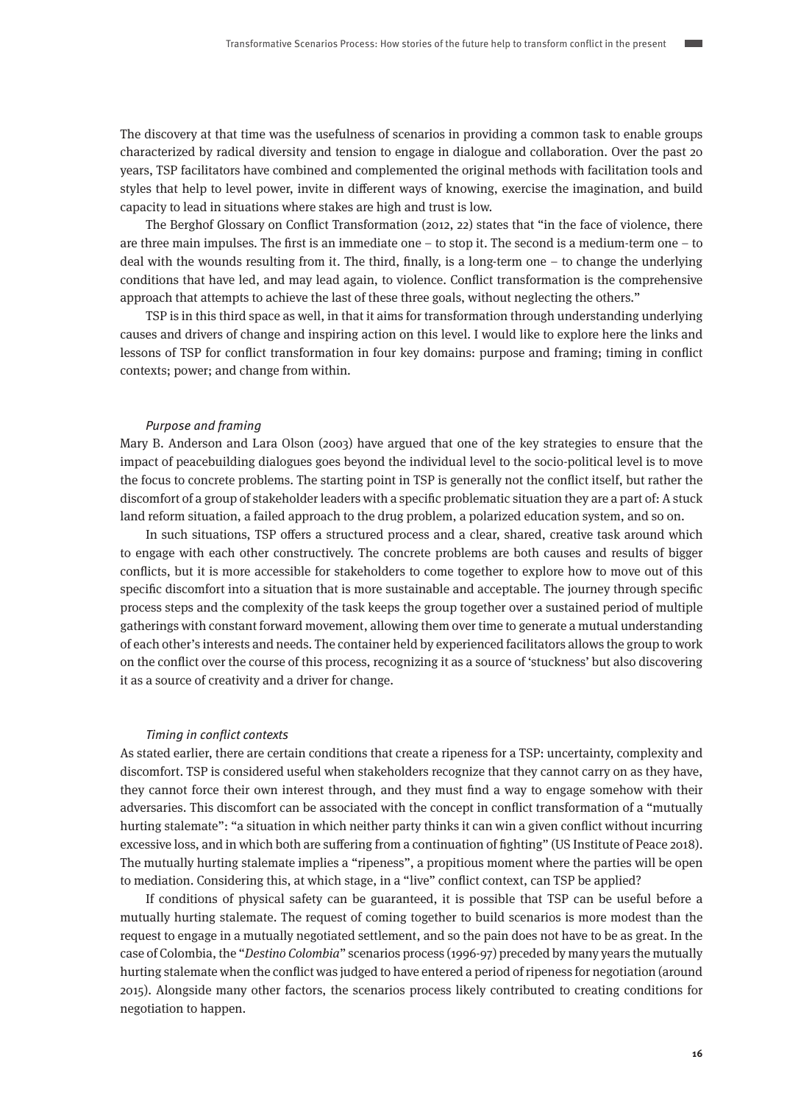The discovery at that time was the usefulness of scenarios in providing a common task to enable groups characterized by radical diversity and tension to engage in dialogue and collaboration. Over the past 20 years, TSP facilitators have combined and complemented the original methods with facilitation tools and styles that help to level power, invite in different ways of knowing, exercise the imagination, and build capacity to lead in situations where stakes are high and trust is low.

The Berghof Glossary on Conflict Transformation (2012, 22) states that "in the face of violence, there are three main impulses. The first is an immediate one – to stop it. The second is a medium-term one – to deal with the wounds resulting from it. The third, finally, is a long-term one – to change the underlying conditions that have led, and may lead again, to violence. Conflict transformation is the comprehensive approach that attempts to achieve the last of these three goals, without neglecting the others."

TSP is in this third space as well, in that it aims for transformation through understanding underlying causes and drivers of change and inspiring action on this level. I would like to explore here the links and lessons of TSP for conflict transformation in four key domains: purpose and framing; timing in conflict contexts; power; and change from within.

### Purpose and framing

Mary B. Anderson and Lara Olson (2003) have argued that one of the key strategies to ensure that the impact of peacebuilding dialogues goes beyond the individual level to the socio-political level is to move the focus to concrete problems. The starting point in TSP is generally not the conflict itself, but rather the discomfort of a group of stakeholder leaders with a specific problematic situation they are a part of: A stuck land reform situation, a failed approach to the drug problem, a polarized education system, and so on.

In such situations, TSP offers a structured process and a clear, shared, creative task around which to engage with each other constructively. The concrete problems are both causes and results of bigger conflicts, but it is more accessible for stakeholders to come together to explore how to move out of this specific discomfort into a situation that is more sustainable and acceptable. The journey through specific process steps and the complexity of the task keeps the group together over a sustained period of multiple gatherings with constant forward movement, allowing them over time to generate a mutual understanding of each other's interests and needs. The container held by experienced facilitators allows the group to work on the conflict over the course of this process, recognizing it as a source of 'stuckness' but also discovering it as a source of creativity and a driver for change.

#### Timing in conflict contexts

As stated earlier, there are certain conditions that create a ripeness for a TSP: uncertainty, complexity and discomfort. TSP is considered useful when stakeholders recognize that they cannot carry on as they have, they cannot force their own interest through, and they must find a way to engage somehow with their adversaries. This discomfort can be associated with the concept in conflict transformation of a "mutually hurting stalemate": "a situation in which neither party thinks it can win a given conflict without incurring excessive loss, and in which both are suffering from a continuation of fighting" (US Institute of Peace 2018). The mutually hurting stalemate implies a "ripeness", a propitious moment where the parties will be open to mediation. Considering this, at which stage, in a "live" conflict context, can TSP be applied?

If conditions of physical safety can be guaranteed, it is possible that TSP can be useful before a mutually hurting stalemate. The request of coming together to build scenarios is more modest than the request to engage in a mutually negotiated settlement, and so the pain does not have to be as great. In the case of Colombia, the "Destino Colombia" scenarios process (1996-97) preceded by many years the mutually hurting stalemate when the conflict was judged to have entered a period of ripeness for negotiation (around 2015). Alongside many other factors, the scenarios process likely contributed to creating conditions for negotiation to happen.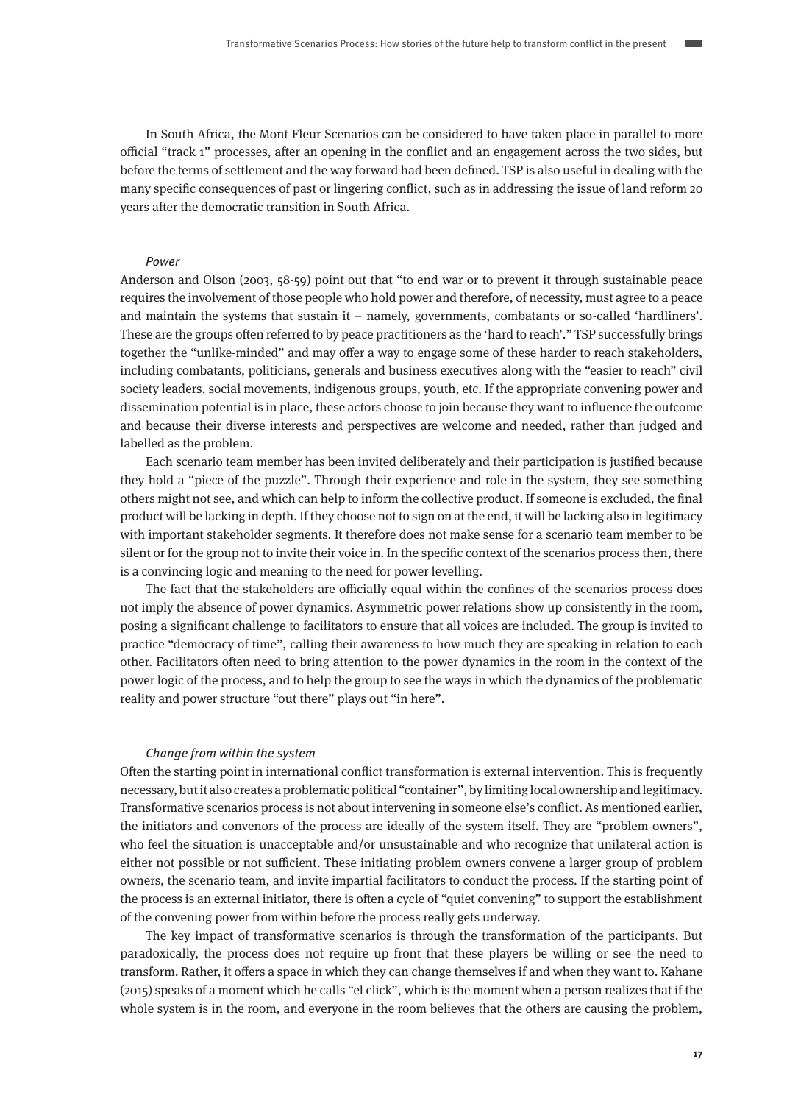In South Africa, the Mont Fleur Scenarios can be considered to have taken place in parallel to more official "track 1" processes, after an opening in the conflict and an engagement across the two sides, but before the terms of settlement and the way forward had been defined. TSP is also useful in dealing with the many specific consequences of past or lingering conflict, such as in addressing the issue of land reform 20 years after the democratic transition in South Africa.

### Power

Anderson and Olson (2003, 58-59) point out that "to end war or to prevent it through sustainable peace requires the involvement of those people who hold power and therefore, of necessity, must agree to a peace and maintain the systems that sustain it – namely, governments, combatants or so-called 'hardliners'. These are the groups often referred to by peace practitioners as the 'hard to reach'." TSP successfully brings together the "unlike-minded" and may offer a way to engage some of these harder to reach stakeholders, including combatants, politicians, generals and business executives along with the "easier to reach" civil society leaders, social movements, indigenous groups, youth, etc. If the appropriate convening power and dissemination potential is in place, these actors choose to join because they want to influence the outcome and because their diverse interests and perspectives are welcome and needed, rather than judged and labelled as the problem.

Each scenario team member has been invited deliberately and their participation is justified because they hold a "piece of the puzzle". Through their experience and role in the system, they see something others might not see, and which can help to inform the collective product. If someone is excluded, the final product will be lacking in depth. If they choose not to sign on at the end, it will be lacking also in legitimacy with important stakeholder segments. It therefore does not make sense for a scenario team member to be silent or for the group not to invite their voice in. In the specific context of the scenarios process then, there is a convincing logic and meaning to the need for power levelling.

The fact that the stakeholders are officially equal within the confines of the scenarios process does not imply the absence of power dynamics. Asymmetric power relations show up consistently in the room, posing a significant challenge to facilitators to ensure that all voices are included. The group is invited to practice "democracy of time", calling their awareness to how much they are speaking in relation to each other. Facilitators often need to bring attention to the power dynamics in the room in the context of the power logic of the process, and to help the group to see the ways in which the dynamics of the problematic reality and power structure "out there" plays out "in here".

#### Change from within the system

Often the starting point in international conflict transformation is external intervention. This is frequently necessary, but it also creates a problematic political "container", by limiting local ownership and legitimacy. Transformative scenarios process is not about intervening in someone else's conflict. As mentioned earlier, the initiators and convenors of the process are ideally of the system itself. They are "problem owners", who feel the situation is unacceptable and/or unsustainable and who recognize that unilateral action is either not possible or not sufficient. These initiating problem owners convene a larger group of problem owners, the scenario team, and invite impartial facilitators to conduct the process. If the starting point of the process is an external initiator, there is often a cycle of "quiet convening" to support the establishment of the convening power from within before the process really gets underway.

The key impact of transformative scenarios is through the transformation of the participants. But paradoxically, the process does not require up front that these players be willing or see the need to transform. Rather, it offers a space in which they can change themselves if and when they want to. Kahane (2015) speaks of a moment which he calls "el click", which is the moment when a person realizes that if the whole system is in the room, and everyone in the room believes that the others are causing the problem,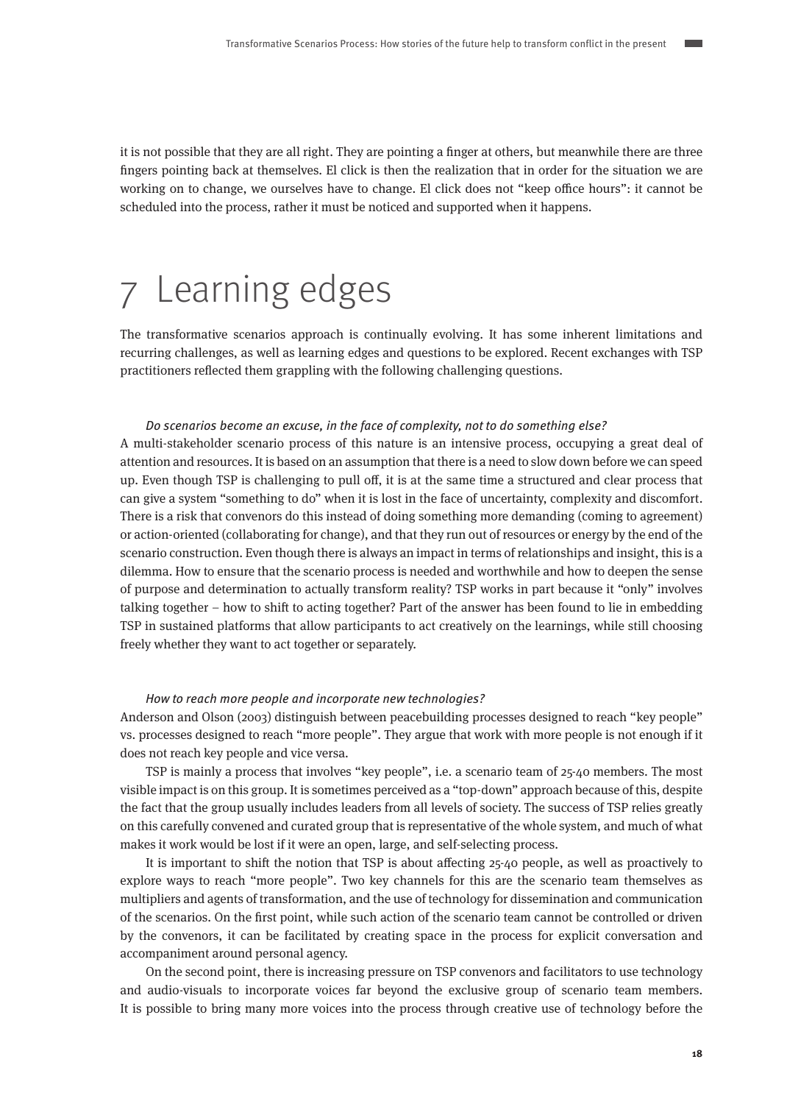<span id="page-17-0"></span>it is not possible that they are all right. They are pointing a finger at others, but meanwhile there are three fingers pointing back at themselves. El click is then the realization that in order for the situation we are working on to change, we ourselves have to change. El click does not "keep office hours": it cannot be scheduled into the process, rather it must be noticed and supported when it happens.

# 7 Learning edges

The transformative scenarios approach is continually evolving. It has some inherent limitations and recurring challenges, as well as learning edges and questions to be explored. Recent exchanges with TSP practitioners reflected them grappling with the following challenging questions.

### Do scenarios become an excuse, in the face of complexity, not to do something else?

A multi-stakeholder scenario process of this nature is an intensive process, occupying a great deal of attention and resources. It is based on an assumption that there is a need to slow down before we can speed up. Even though TSP is challenging to pull off, it is at the same time a structured and clear process that can give a system "something to do" when it is lost in the face of uncertainty, complexity and discomfort. There is a risk that convenors do this instead of doing something more demanding (coming to agreement) or action-oriented (collaborating for change), and that they run out of resources or energy by the end of the scenario construction. Even though there is always an impact in terms of relationships and insight, this is a dilemma. How to ensure that the scenario process is needed and worthwhile and how to deepen the sense of purpose and determination to actually transform reality? TSP works in part because it "only" involves talking together – how to shift to acting together? Part of the answer has been found to lie in embedding TSP in sustained platforms that allow participants to act creatively on the learnings, while still choosing freely whether they want to act together or separately.

### How to reach more people and incorporate new technologies?

Anderson and Olson (2003) distinguish between peacebuilding processes designed to reach "key people" vs. processes designed to reach "more people". They argue that work with more people is not enough if it does not reach key people and vice versa.

TSP is mainly a process that involves "key people", i.e. a scenario team of 25-40 members. The most visible impact is on this group. It is sometimes perceived as a "top-down" approach because of this, despite the fact that the group usually includes leaders from all levels of society. The success of TSP relies greatly on this carefully convened and curated group that is representative of the whole system, and much of what makes it work would be lost if it were an open, large, and self-selecting process.

It is important to shift the notion that TSP is about affecting 25-40 people, as well as proactively to explore ways to reach "more people". Two key channels for this are the scenario team themselves as multipliers and agents of transformation, and the use of technology for dissemination and communication of the scenarios. On the first point, while such action of the scenario team cannot be controlled or driven by the convenors, it can be facilitated by creating space in the process for explicit conversation and accompaniment around personal agency.

On the second point, there is increasing pressure on TSP convenors and facilitators to use technology and audio-visuals to incorporate voices far beyond the exclusive group of scenario team members. It is possible to bring many more voices into the process through creative use of technology before the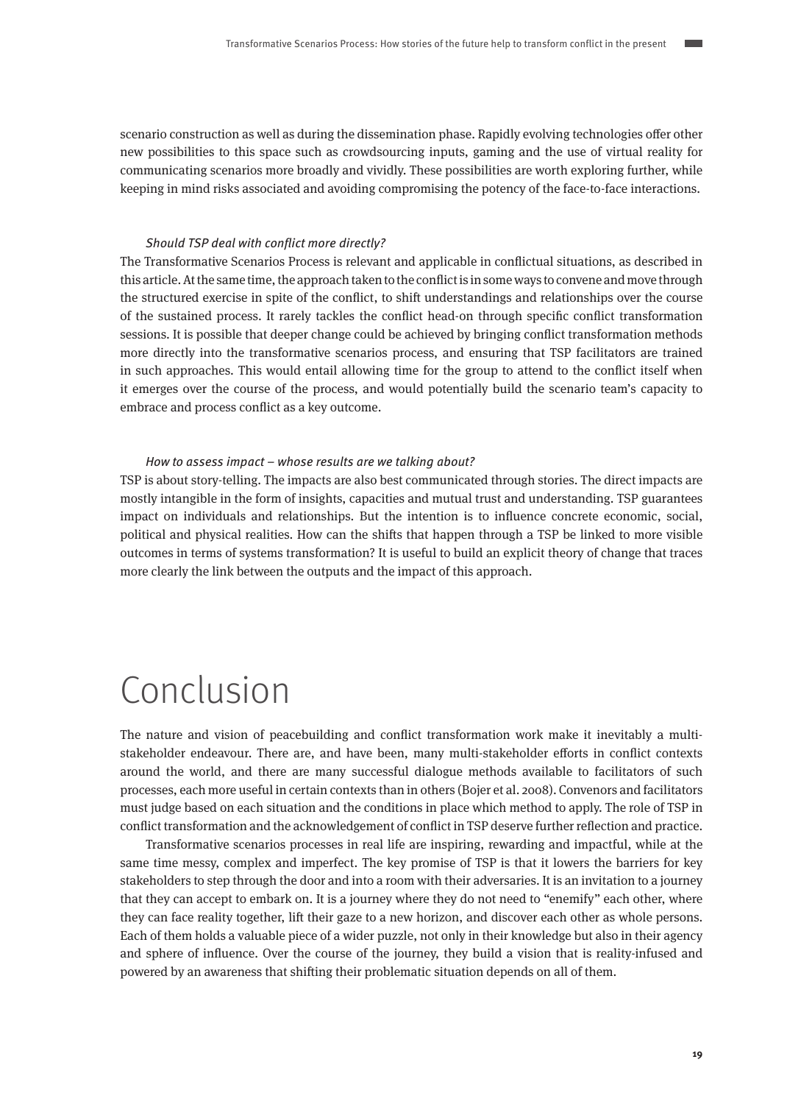<span id="page-18-0"></span>scenario construction as well as during the dissemination phase. Rapidly evolving technologies offer other new possibilities to this space such as crowdsourcing inputs, gaming and the use of virtual reality for communicating scenarios more broadly and vividly. These possibilities are worth exploring further, while keeping in mind risks associated and avoiding compromising the potency of the face-to-face interactions.

### Should TSP deal with conflict more directly?

The Transformative Scenarios Process is relevant and applicable in conflictual situations, as described in this article. At the same time, the approach taken to the conflict is in some ways to convene and move through the structured exercise in spite of the conflict, to shift understandings and relationships over the course of the sustained process. It rarely tackles the conflict head-on through specific conflict transformation sessions. It is possible that deeper change could be achieved by bringing conflict transformation methods more directly into the transformative scenarios process, and ensuring that TSP facilitators are trained in such approaches. This would entail allowing time for the group to attend to the conflict itself when it emerges over the course of the process, and would potentially build the scenario team's capacity to embrace and process conflict as a key outcome.

### How to assess impact – whose results are we talking about?

TSP is about story-telling. The impacts are also best communicated through stories. The direct impacts are mostly intangible in the form of insights, capacities and mutual trust and understanding. TSP guarantees impact on individuals and relationships. But the intention is to influence concrete economic, social, political and physical realities. How can the shifts that happen through a TSP be linked to more visible outcomes in terms of systems transformation? It is useful to build an explicit theory of change that traces more clearly the link between the outputs and the impact of this approach.

## Conclusion

The nature and vision of peacebuilding and conflict transformation work make it inevitably a multistakeholder endeavour. There are, and have been, many multi-stakeholder efforts in conflict contexts around the world, and there are many successful dialogue methods available to facilitators of such processes, each more useful in certain contexts than in others (Bojer et al. 2008). Convenors and facilitators must judge based on each situation and the conditions in place which method to apply. The role of TSP in conflict transformation and the acknowledgement of conflict in TSP deserve further reflection and practice.

Transformative scenarios processes in real life are inspiring, rewarding and impactful, while at the same time messy, complex and imperfect. The key promise of TSP is that it lowers the barriers for key stakeholders to step through the door and into a room with their adversaries. It is an invitation to a journey that they can accept to embark on. It is a journey where they do not need to "enemify" each other, where they can face reality together, lift their gaze to a new horizon, and discover each other as whole persons. Each of them holds a valuable piece of a wider puzzle, not only in their knowledge but also in their agency and sphere of influence. Over the course of the journey, they build a vision that is reality-infused and powered by an awareness that shifting their problematic situation depends on all of them.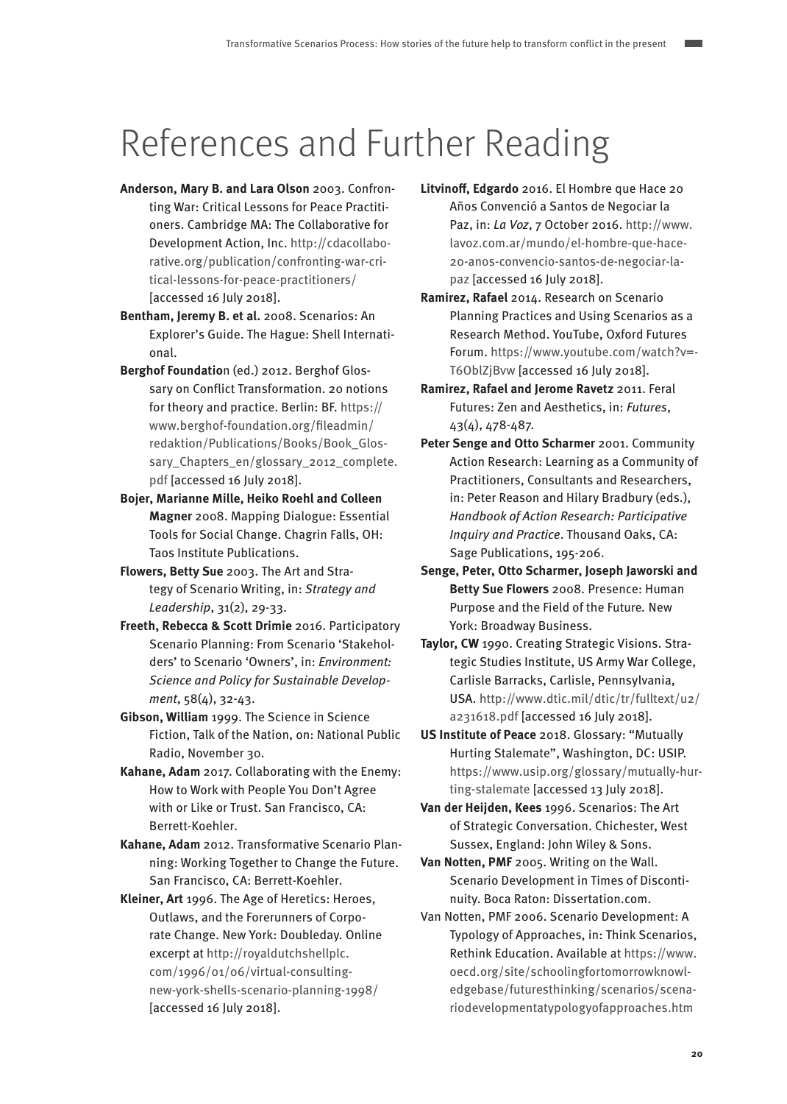# <span id="page-19-0"></span>References and Further Reading

- **Anderson, Mary B. and Lara Olson** 2003. Confronting War: Critical Lessons for Peace Practitioners. Cambridge MA: The Collaborative for Development Action, Inc. [http://cdacollabo](http://cdacollaborative.org/publication/confronting-war-critical-lessons-for-peace-practitioners/)[rative.org/publication/confronting-war-cri](http://cdacollaborative.org/publication/confronting-war-critical-lessons-for-peace-practitioners/)[tical-lessons-for-peace-practitioners/](http://cdacollaborative.org/publication/confronting-war-critical-lessons-for-peace-practitioners/) [accessed 16 July 2018].
- **Bentham, Jeremy B. et al.** 2008. Scenarios: An Explorer's Guide. The Hague: Shell International.
- **Berghof Foundatio**n (ed.) 2012. Berghof Glossary on Conflict Transformation. 20 notions for theory and practice. Berlin: BF. [https://](https://www.berghof-foundation.org/fileadmin/redaktion/Publications/Books/Book_Glossary_Chapters_en/glossary_2012_complete.pdf) [www.berghof-foundation.org/fileadmin/](https://www.berghof-foundation.org/fileadmin/redaktion/Publications/Books/Book_Glossary_Chapters_en/glossary_2012_complete.pdf) [redaktion/Publications/Books/Book\\_Glos](https://www.berghof-foundation.org/fileadmin/redaktion/Publications/Books/Book_Glossary_Chapters_en/glossary_2012_complete.pdf)[sary\\_Chapters\\_en/glossary\\_2012\\_complete.](https://www.berghof-foundation.org/fileadmin/redaktion/Publications/Books/Book_Glossary_Chapters_en/glossary_2012_complete.pdf) [pdf](https://www.berghof-foundation.org/fileadmin/redaktion/Publications/Books/Book_Glossary_Chapters_en/glossary_2012_complete.pdf) [accessed 16 July 2018].
- **Bojer, Marianne Mille, Heiko Roehl and Colleen Magner** 2008. Mapping Dialogue: Essential Tools for Social Change. Chagrin Falls, OH: Taos Institute Publications.
- **Flowers, Betty Sue** 2003. The Art and Strategy of Scenario Writing, in: Strategy and Leadership, 31(2), 29-33.
- **Freeth, Rebecca & Scott Drimie** 2016. Participatory Scenario Planning: From Scenario 'Stakeholders' to Scenario 'Owners', in: Environment: Science and Policy for Sustainable Development, 58(4), 32-43.
- **Gibson, William** 1999. The Science in Science Fiction, Talk of the Nation, on: National Public Radio, November 30.
- **Kahane, Adam** 2017. Collaborating with the Enemy: How to Work with People You Don't Agree with or Like or Trust. San Francisco, CA: Berrett-Koehler.
- **Kahane, Adam** 2012. Transformative Scenario Planning: Working Together to Change the Future. San Francisco, CA: Berrett-Koehler.
- **Kleiner, Art** 1996. The Age of Heretics: Heroes, Outlaws, and the Forerunners of Corporate Change. New York: Doubleday. Online excerpt at [http://royaldutchshellplc.](http://royaldutchshellplc.com/1996/01/06/virtual-consulting-new-york-shells-scenario-planning-1998/) [com/1996/01/06/virtual-consulting](http://royaldutchshellplc.com/1996/01/06/virtual-consulting-new-york-shells-scenario-planning-1998/)[new-york-shells-scenario-planning-1998/](http://royaldutchshellplc.com/1996/01/06/virtual-consulting-new-york-shells-scenario-planning-1998/) [accessed 16 July 2018].
- **Litvinoff, Edgardo** 2016. El Hombre que Hace 20 Años Convenció a Santos de Negociar la Paz, in: La Voz, 7 October 2016. [http://www.](http://www.lavoz.com.ar/mundo/el-hombre-que-hace-20-anos-convencio-santos-de-negociar-la-paz) [lavoz.com.ar/mundo/el-hombre-que-hace-](http://www.lavoz.com.ar/mundo/el-hombre-que-hace-20-anos-convencio-santos-de-negociar-la-paz)[20-anos-convencio-santos-de-negociar-la](http://www.lavoz.com.ar/mundo/el-hombre-que-hace-20-anos-convencio-santos-de-negociar-la-paz)[paz](http://www.lavoz.com.ar/mundo/el-hombre-que-hace-20-anos-convencio-santos-de-negociar-la-paz) [accessed 16 July 2018].
- **Ramirez, Rafael** 2014. Research on Scenario Planning Practices and Using Scenarios as a Research Method. YouTube, Oxford Futures Forum. [https://www.youtube.com/watch?v=-](https://www.youtube.com/watch?v=-T6OblZjBvw) [T6OblZjBvw](https://www.youtube.com/watch?v=-T6OblZjBvw) [accessed 16 July 2018].
- **Ramirez, Rafael and Jerome Ravetz** 2011. Feral Futures: Zen and Aesthetics, in: Futures, 43(4), 478-487.
- **Peter Senge and Otto Scharmer** 2001. Community Action Research: Learning as a Community of Practitioners, Consultants and Researchers, in: Peter Reason and Hilary Bradbury (eds.), Handbook of Action Research: Participative Inquiry and Practice. Thousand Oaks, CA: Sage Publications, 195-206.
- **Senge, Peter, Otto Scharmer, Joseph Jaworski and Betty Sue Flowers** 2008. Presence: Human Purpose and the Field of the Future. New York: Broadway Business.
- **Taylor, CW** 1990. Creating Strategic Visions. Strategic Studies Institute, US Army War College, Carlisle Barracks, Carlisle, Pennsylvania, USA. [http://www.dtic.mil/dtic/tr/fulltext/u2/](http://www.dtic.mil/dtic/tr/fulltext/u2/a231618.pdf) [a231618.pdf](http://www.dtic.mil/dtic/tr/fulltext/u2/a231618.pdf) [accessed 16 July 2018].
- **US Institute of Peace** 2018. Glossary: "Mutually Hurting Stalemate", Washington, DC: USIP. [https://www.usip.org/glossary/mutually-hur](https://www.usip.org/glossary/mutually-hurting-stalemate)[ting-stalemate](https://www.usip.org/glossary/mutually-hurting-stalemate) [accessed 13 July 2018].
- **Van der Heijden, Kees** 1996. Scenarios: The Art of Strategic Conversation. Chichester, West Sussex, England: John Wiley & Sons.
- **Van Notten, PMF** 2005. Writing on the Wall. Scenario Development in Times of Discontinuity. Boca Raton: Dissertation.com.
- Van Notten, PMF 2006. Scenario Development: A Typology of Approaches, in: Think Scenarios, Rethink Education. Available at [https://www.](https://www.oecd.org/site/schoolingfortomorrowknowledgebase/futuresthinking/scenarios/scenariodevelopmentatypologyofapproaches.htm) [oecd.org/site/schoolingfortomorrowknowl](https://www.oecd.org/site/schoolingfortomorrowknowledgebase/futuresthinking/scenarios/scenariodevelopmentatypologyofapproaches.htm)[edgebase/futuresthinking/scenarios/scena](https://www.oecd.org/site/schoolingfortomorrowknowledgebase/futuresthinking/scenarios/scenariodevelopmentatypologyofapproaches.htm)[riodevelopmentatypologyofapproaches.htm](https://www.oecd.org/site/schoolingfortomorrowknowledgebase/futuresthinking/scenarios/scenariodevelopmentatypologyofapproaches.htm)